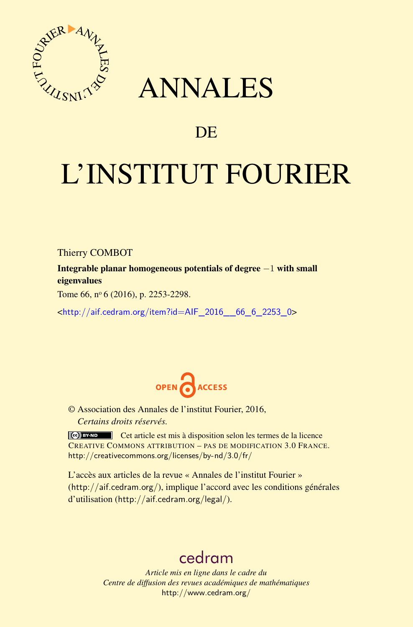

# ANNALES

## **DE**

# L'INSTITUT FOURIER

Thierry COMBOT

Integrable planar homogeneous potentials of degree −1 with small eigenvalues

Tome 66,  $n^{\circ}$  6 (2016), p. 2253-2298.

<[http://aif.cedram.org/item?id=AIF\\_2016\\_\\_66\\_6\\_2253\\_0](http://aif.cedram.org/item?id=AIF_2016__66_6_2253_0)>



© Association des Annales de l'institut Fourier, 2016, *Certains droits réservés.*

Cet article est mis à disposition selon les termes de la licence CREATIVE COMMONS ATTRIBUTION – PAS DE MODIFICATION 3.0 FRANCE. <http://creativecommons.org/licenses/by-nd/3.0/fr/>

L'accès aux articles de la revue « Annales de l'institut Fourier » (<http://aif.cedram.org/>), implique l'accord avec les conditions générales d'utilisation (<http://aif.cedram.org/legal/>).

## [cedram](http://www.cedram.org/)

*Article mis en ligne dans le cadre du Centre de diffusion des revues académiques de mathématiques* <http://www.cedram.org/>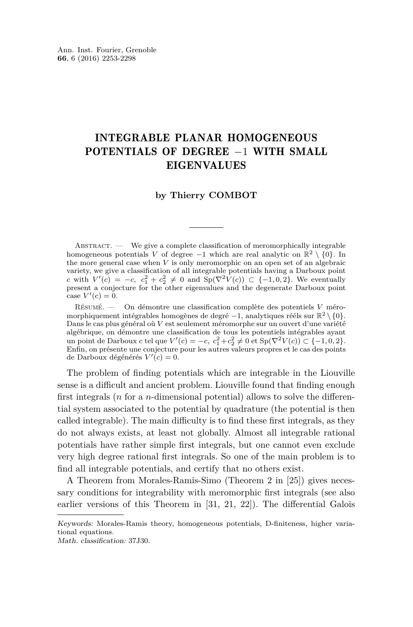### INTEGRABLE PLANAR HOMOGENEOUS POTENTIALS OF DEGREE −1 WITH SMALL EIGENVALUES

#### **by Thierry COMBOT**

 $ABSTRACT.$  We give a complete classification of meromorphically integrable homogeneous potentials *V* of degree −1 which are real analytic on  $\mathbb{R}^2 \setminus \{0\}$ . In the more general case when  $V$  is only meromorphic on an open set of an algebraic variety, we give a classification of all integrable potentials having a Darboux point *c* with  $V'(c) = -c$ ,  $c_1^2 + c_2^2 \neq 0$  and  $Sp(\nabla^2 V(c)) \subset \{-1, 0, 2\}$ . We eventually present a conjecture for the other eigenvalues and the degenerate Darboux point  $\csc V'(c) = 0.$ 

Résumé. — On démontre une classification complète des potentiels *V* méromorphiquement intégrables homogènes de degré −1, analytiques rééls sur  $\mathbb{R}^2 \setminus \{0\}$ . Dans le cas plus général où *V* est seulement méromorphe sur un ouvert d'une variété algébrique, on démontre une classification de tous les potentiels intégrables ayant un point de Darboux *c* tel que *V*'(*c*) = −*c*,  $c_1^2 + c_2^2 \neq 0$  et Sp( $\nabla^2 V(c)$ ) ⊂ {−1, 0, 2}. Enfin, on présente une conjecture pour les autres valeurs propres et le cas des points de Darboux dégénérés  $V'(c) = 0$ .

The problem of finding potentials which are integrable in the Liouville sense is a difficult and ancient problem. Liouville found that finding enough first integrals (*n* for a *n*-dimensional potential) allows to solve the differential system associated to the potential by quadrature (the potential is then called integrable). The main difficulty is to find these first integrals, as they do not always exists, at least not globally. Almost all integrable rational potentials have rather simple first integrals, but one cannot even exclude very high degree rational first integrals. So one of the main problem is to find all integrable potentials, and certify that no others exist.

A Theorem from Morales-Ramis-Simo (Theorem 2 in [\[25\]](#page-45-0)) gives necessary conditions for integrability with meromorphic first integrals (see also earlier versions of this Theorem in [\[31,](#page-45-1) [21,](#page-45-2) [22\]](#page-45-3)). The differential Galois

Keywords: Morales-Ramis theory, homogeneous potentials, D-finiteness, higher variational equations.

Math. classification: 37J30.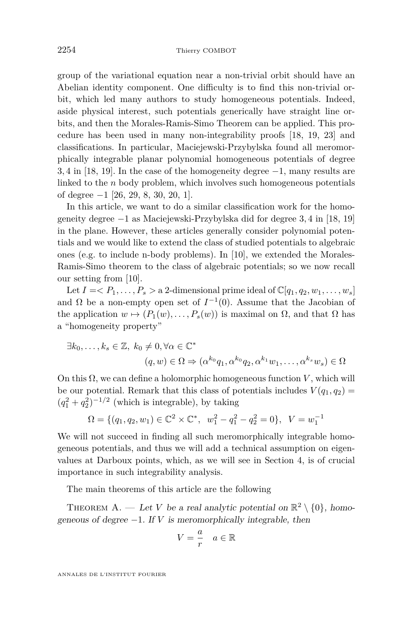group of the variational equation near a non-trivial orbit should have an Abelian identity component. One difficulty is to find this non-trivial orbit, which led many authors to study homogeneous potentials. Indeed, aside physical interest, such potentials generically have straight line orbits, and then the Morales-Ramis-Simo Theorem can be applied. This procedure has been used in many non-integrability proofs [\[18,](#page-45-4) [19,](#page-45-5) [23\]](#page-45-6) and classifications. In particular, Maciejewski-Przybylska found all meromorphically integrable planar polynomial homogeneous potentials of degree 3*,* 4 in [\[18,](#page-45-4) [19\]](#page-45-5). In the case of the homogeneity degree −1, many results are linked to the *n* body problem, which involves such homogeneous potentials of degree −1 [\[26,](#page-45-7) [29,](#page-45-8) [8,](#page-44-0) [30,](#page-45-9) [20,](#page-45-10) [1\]](#page-44-1).

In this article, we want to do a similar classification work for the homogeneity degree −1 as Maciejewski-Przybylska did for degree 3*,* 4 in [\[18,](#page-45-4) [19\]](#page-45-5) in the plane. However, these articles generally consider polynomial potentials and we would like to extend the class of studied potentials to algebraic ones (e.g. to include n-body problems). In [\[10\]](#page-44-2), we extended the Morales-Ramis-Simo theorem to the class of algebraic potentials; so we now recall our setting from [\[10\]](#page-44-2).

Let  $I = \langle P_1, \ldots, P_s \rangle$  a 2-dimensional prime ideal of  $\mathbb{C}[q_1, q_2, w_1, \ldots, w_s]$ and  $\Omega$  be a non-empty open set of  $I^{-1}(0)$ . Assume that the Jacobian of the application  $w \mapsto (P_1(w), \ldots, P_s(w))$  is maximal on  $\Omega$ , and that  $\Omega$  has a "homogeneity property"

$$
\exists k_0, \dots, k_s \in \mathbb{Z}, k_0 \neq 0, \forall \alpha \in \mathbb{C}^*
$$
  

$$
(q, w) \in \Omega \Rightarrow (\alpha^{k_0} q_1, \alpha^{k_0} q_2, \alpha^{k_1} w_1, \dots, \alpha^{k_s} w_s) \in \Omega
$$

On this  $\Omega$ , we can define a holomorphic homogeneous function *V*, which will be our potential. Remark that this class of potentials includes  $V(q_1, q_2)$  =  $(q_1^2+q_2^2)^{-1/2}$  (which is integrable), by taking

$$
\Omega = \{ (q_1, q_2, w_1) \in \mathbb{C}^2 \times \mathbb{C}^*, \ w_1^2 - q_1^2 - q_2^2 = 0 \}, \ V = w_1^{-1}
$$

We will not succeed in finding all such meromorphically integrable homogeneous potentials, and thus we will add a technical assumption on eigenvalues at Darboux points, which, as we will see in Section [4,](#page-14-0) is of crucial importance in such integrability analysis.

The main theorems of this article are the following

<span id="page-2-0"></span>THEOREM A. — Let *V* be a real analytic potential on  $\mathbb{R}^2 \setminus \{0\}$ , homogeneous of degree  $-1$ . If *V* is meromorphically integrable, then

$$
V = \frac{a}{r} \quad a \in \mathbb{R}
$$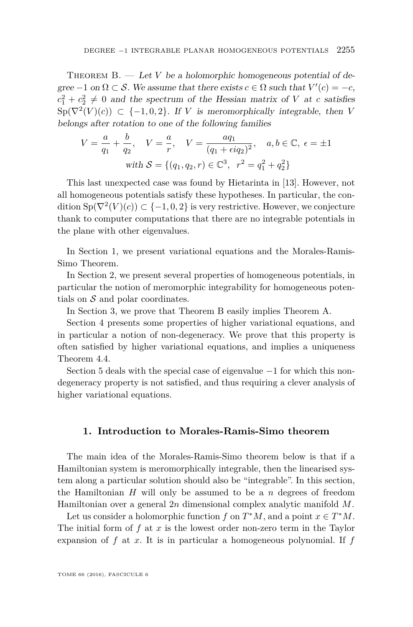<span id="page-3-1"></span>THEOREM  $B. - Let V$  be a holomorphic homogeneous potential of degree  $-1$  on  $\Omega \subset \mathcal{S}$ . We assume that there exists  $c \in \Omega$  such that  $V'(c) = -c$ ,  $c_1^2 + c_2^2 \neq 0$  and the spectrum of the Hessian matrix of *V* at *c* satisfies  $Sp(\nabla^2(V)(c)) \subset \{-1,0,2\}$ . If *V* is meromorphically integrable, then *V* belongs after rotation to one of the following families

$$
V = \frac{a}{q_1} + \frac{b}{q_2}, \quad V = \frac{a}{r}, \quad V = \frac{aq_1}{(q_1 + \epsilon iq_2)^2}, \quad a, b \in \mathbb{C}, \ \epsilon = \pm 1
$$
  
with  $S = \{(q_1, q_2, r) \in \mathbb{C}^3, \ r^2 = q_1^2 + q_2^2\}$ 

This last unexpected case was found by Hietarinta in [\[13\]](#page-45-11). However, not all homogeneous potentials satisfy these hypotheses. In particular, the condition  $\text{Sp}(\nabla^2(V)(c)) \subset \{-1,0,2\}$  is very restrictive. However, we conjecture thank to computer computations that there are no integrable potentials in the plane with other eigenvalues.

In Section [1,](#page-3-0) we present variational equations and the Morales-Ramis-Simo Theorem.

In Section [2,](#page-6-0) we present several properties of homogeneous potentials, in particular the notion of meromorphic integrability for homogeneous potentials on  $S$  and polar coordinates.

In Section [3,](#page-12-0) we prove that Theorem [B](#page-3-1) easily implies Theorem [A.](#page-2-0)

Section [4](#page-14-0) presents some properties of higher variational equations, and in particular a notion of non-degeneracy. We prove that this property is often satisfied by higher variational equations, and implies a uniqueness Theorem [4.4.](#page-21-0)

Section [5](#page-27-0) deals with the special case of eigenvalue −1 for which this nondegeneracy property is not satisfied, and thus requiring a clever analysis of higher variational equations.

#### <span id="page-3-0"></span>**1. Introduction to Morales-Ramis-Simo theorem**

The main idea of the Morales-Ramis-Simo theorem below is that if a Hamiltonian system is meromorphically integrable, then the linearised system along a particular solution should also be "integrable". In this section, the Hamiltonian  $H$  will only be assumed to be a  $n$  degrees of freedom Hamiltonian over a general 2*n* dimensional complex analytic manifold *M*.

Let us consider a holomorphic function *f* on  $T^*M$ , and a point  $x \in T^*M$ . The initial form of *f* at *x* is the lowest order non-zero term in the Taylor expansion of *f* at *x*. It is in particular a homogeneous polynomial. If *f*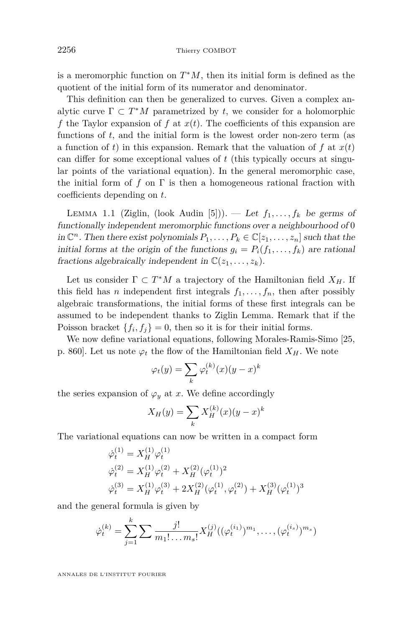is a meromorphic function on *T* <sup>∗</sup>*M*, then its initial form is defined as the quotient of the initial form of its numerator and denominator.

This definition can then be generalized to curves. Given a complex analytic curve  $\Gamma \subset T^*M$  parametrized by *t*, we consider for a holomorphic *f* the Taylor expansion of *f* at *x*(*t*). The coefficients of this expansion are functions of *t*, and the initial form is the lowest order non-zero term (as a function of *t*) in this expansion. Remark that the valuation of  $f$  at  $x(t)$ can differ for some exceptional values of *t* (this typically occurs at singular points of the variational equation). In the general meromorphic case, the initial form of  $f$  on  $\Gamma$  is then a homogeneous rational fraction with coefficients depending on *t*.

LEMMA 1.1 (Ziglin, (look Audin [\[5\]](#page-44-3))). — Let  $f_1, \ldots, f_k$  be germs of functionally independent meromorphic functions over a neighbourhood of 0 in  $\mathbb{C}^n$ . Then there exist polynomials  $P_1, \ldots, P_k \in \mathbb{C}[z_1, \ldots, z_n]$  such that the initial forms at the origin of the functions  $g_i = P_i(f_1, \ldots, f_k)$  are rational fractions algebraically independent in  $\mathbb{C}(z_1, \ldots, z_k)$ .

Let us consider  $\Gamma \subset T^*M$  a trajectory of the Hamiltonian field  $X_H$ . If this field has *n* independent first integrals  $f_1, \ldots, f_n$ , then after possibly algebraic transformations, the initial forms of these first integrals can be assumed to be independent thanks to Ziglin Lemma. Remark that if the Poisson bracket  $\{f_i, f_j\} = 0$ , then so it is for their initial forms.

We now define variational equations, following Morales-Ramis-Simo [\[25,](#page-45-0) p. 860]. Let us note  $\varphi_t$  the flow of the Hamiltonian field  $X_H$ . We note

$$
\varphi_t(y) = \sum_k \varphi_t^{(k)}(x)(y-x)^k
$$

the series expansion of  $\varphi_y$  at *x*. We define accordingly

$$
X_H(y) = \sum_{k} X_H^{(k)}(x)(y - x)^k
$$

The variational equations can now be written in a compact form

$$
\begin{aligned}\n\dot{\varphi}_t^{(1)} &= X_H^{(1)} \varphi_t^{(1)} \\
\dot{\varphi}_t^{(2)} &= X_H^{(1)} \varphi_t^{(2)} + X_H^{(2)} (\varphi_t^{(1)})^2 \\
\dot{\varphi}_t^{(3)} &= X_H^{(1)} \varphi_t^{(3)} + 2X_H^{(2)} (\varphi_t^{(1)}, \varphi_t^{(2)}) + X_H^{(3)} (\varphi_t^{(1)})^3\n\end{aligned}
$$

and the general formula is given by

$$
\dot{\varphi}_t^{(k)} = \sum_{j=1}^k \sum \frac{j!}{m_1! \dots m_s!} X_H^{(j)}((\varphi_t^{(i_1)})^{m_1}, \dots, (\varphi_t^{(i_s)})^{m_s})
$$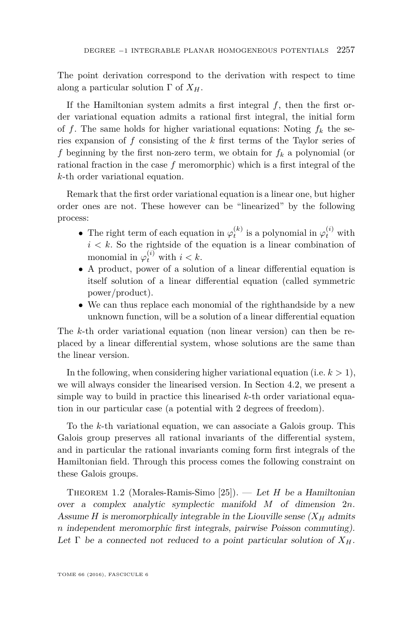The point derivation correspond to the derivation with respect to time along a particular solution Γ of *XH*.

If the Hamiltonian system admits a first integral *f*, then the first order variational equation admits a rational first integral, the initial form of *f*. The same holds for higher variational equations: Noting  $f_k$  the series expansion of *f* consisting of the *k* first terms of the Taylor series of *f* beginning by the first non-zero term, we obtain for  $f_k$  a polynomial (or rational fraction in the case *f* meromorphic) which is a first integral of the *k*-th order variational equation.

Remark that the first order variational equation is a linear one, but higher order ones are not. These however can be "linearized" by the following process:

- The right term of each equation in  $\varphi_t^{(k)}$  is a polynomial in  $\varphi_t^{(i)}$  with  $i < k$ . So the rightside of the equation is a linear combination of monomial in  $\varphi_t^{(i)}$  with  $i < k$ .
- A product, power of a solution of a linear differential equation is itself solution of a linear differential equation (called symmetric power/product).
- We can thus replace each monomial of the righthandside by a new unknown function, will be a solution of a linear differential equation

The *k*-th order variational equation (non linear version) can then be replaced by a linear differential system, whose solutions are the same than the linear version.

In the following, when considering higher variational equation (i.e.  $k > 1$ ), we will always consider the linearised version. In Section [4.2,](#page-17-0) we present a simple way to build in practice this linearised *k*-th order variational equation in our particular case (a potential with 2 degrees of freedom).

To the *k*-th variational equation, we can associate a Galois group. This Galois group preserves all rational invariants of the differential system, and in particular the rational invariants coming form first integrals of the Hamiltonian field. Through this process comes the following constraint on these Galois groups.

Theorem 1.2 (Morales-Ramis-Simo [\[25\]](#page-45-0)). — Let *H* be a Hamiltonian over a complex analytic symplectic manifold *M* of dimension 2*n*. Assume *H* is meromorphically integrable in the Liouville sense  $(X_H$  admits *n* independent meromorphic first integrals, pairwise Poisson commuting). Let  $\Gamma$  be a connected not reduced to a point particular solution of  $X_H$ .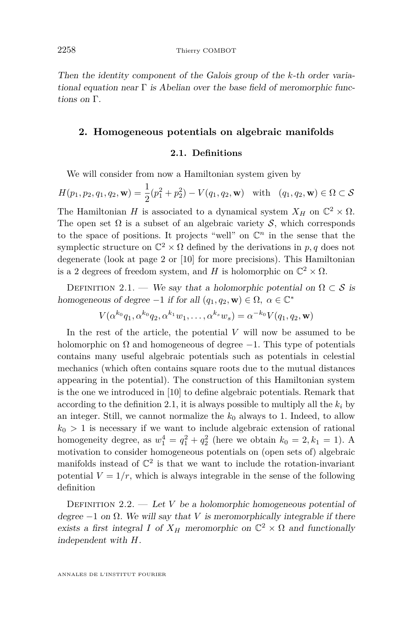Then the identity component of the Galois group of the *k*-th order variational equation near  $\Gamma$  is Abelian over the base field of meromorphic functions on Γ.

#### <span id="page-6-0"></span>**2. Homogeneous potentials on algebraic manifolds**

#### **2.1. Definitions**

We will consider from now a Hamiltonian system given by

$$
H(p_1, p_2, q_1, q_2, \mathbf{w}) = \frac{1}{2}(p_1^2 + p_2^2) - V(q_1, q_2, \mathbf{w}) \text{ with } (q_1, q_2, \mathbf{w}) \in \Omega \subset \mathcal{S}
$$

The Hamiltonian *H* is associated to a dynamical system  $X_H$  on  $\mathbb{C}^2 \times \Omega$ . The open set  $\Omega$  is a subset of an algebraic variety S, which corresponds to the space of positions. It projects "well" on  $\mathbb{C}^n$  in the sense that the symplectic structure on  $\mathbb{C}^2 \times \Omega$  defined by the derivations in  $p, q$  does not degenerate (look at page 2 or [\[10\]](#page-44-2) for more precisions). This Hamiltonian is a 2 degrees of freedom system, and *H* is holomorphic on  $\mathbb{C}^2 \times \Omega$ .

<span id="page-6-1"></span>DEFINITION 2.1. — We say that a holomorphic potential on  $\Omega \subset \mathcal{S}$  is homogeneous of degree  $-1$  if for all  $(q_1, q_2, \mathbf{w}) \in \Omega$ ,  $\alpha \in \mathbb{C}^*$ 

$$
V(\alpha^{k_0}q_1,\alpha^{k_0}q_2,\alpha^{k_1}w_1,\ldots,\alpha^{k_s}w_s)=\alpha^{-k_0}V(q_1,q_2,\mathbf{w})
$$

In the rest of the article, the potential *V* will now be assumed to be holomorphic on  $\Omega$  and homogeneous of degree  $-1$ . This type of potentials contains many useful algebraic potentials such as potentials in celestial mechanics (which often contains square roots due to the mutual distances appearing in the potential). The construction of this Hamiltonian system is the one we introduced in [\[10\]](#page-44-2) to define algebraic potentials. Remark that according to the definition [2.1,](#page-6-1) it is always possible to multiply all the  $k_i$  by an integer. Still, we cannot normalize the  $k_0$  always to 1. Indeed, to allow  $k_0 > 1$  is necessary if we want to include algebraic extension of rational homogeneity degree, as  $w_1^4 = q_1^2 + q_2^2$  (here we obtain  $k_0 = 2, k_1 = 1$ ). A motivation to consider homogeneous potentials on (open sets of) algebraic manifolds instead of  $\mathbb{C}^2$  is that we want to include the rotation-invariant potential  $V = 1/r$ , which is always integrable in the sense of the following definition

DEFINITION  $2.2.$  — Let *V* be a holomorphic homogeneous potential of degree  $-1$  on  $\Omega$ . We will say that *V* is meromorphically integrable if there exists a first integral *I* of  $X_H$  meromorphic on  $\mathbb{C}^2 \times \Omega$  and functionally independent with *H*.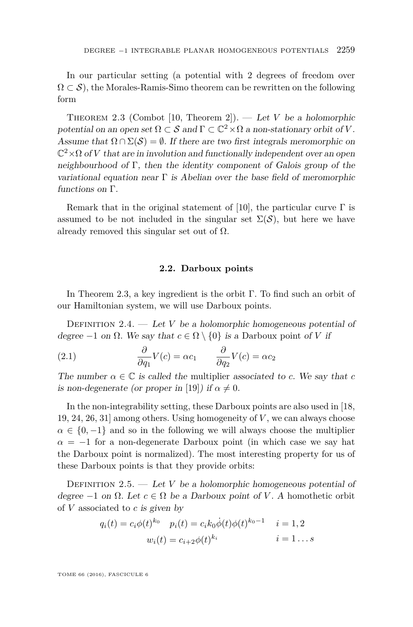In our particular setting (a potential with 2 degrees of freedom over  $\Omega \subset \mathcal{S}$ , the Morales-Ramis-Simo theorem can be rewritten on the following form

<span id="page-7-0"></span>Theorem 2.3 (Combot [\[10,](#page-44-2) Theorem 2]). — Let *V* be a holomorphic potential on an open set  $\Omega \subset \mathcal{S}$  and  $\Gamma \subset \mathbb{C}^2 \times \Omega$  a non-stationary orbit of V. Assume that  $\Omega \cap \Sigma(\mathcal{S}) = \emptyset$ . If there are two first integrals meromorphic on  $\mathbb{C}^2 \times \Omega$  of *V* that are in involution and functionally independent over an open neighbourhood of Γ, then the identity component of Galois group of the variational equation near  $\Gamma$  is Abelian over the base field of meromorphic functions on Γ.

Remark that in the original statement of [\[10\]](#page-44-2), the particular curve  $\Gamma$  is assumed to be not included in the singular set  $\Sigma(\mathcal{S})$ , but here we have already removed this singular set out of  $\Omega$ .

#### **2.2. Darboux points**

In Theorem [2.3,](#page-7-0) a key ingredient is the orbit Γ. To find such an orbit of our Hamiltonian system, we will use Darboux points.

DEFINITION 2.4.  $-$  Let *V* be a holomorphic homogeneous potential of degree  $-1$  on  $\Omega$ . We say that  $c \in \Omega \setminus \{0\}$  is a Darboux point of *V* if

<span id="page-7-1"></span>(2.1) 
$$
\frac{\partial}{\partial q_1} V(c) = \alpha c_1 \qquad \frac{\partial}{\partial q_2} V(c) = \alpha c_2
$$

The number  $\alpha \in \mathbb{C}$  is called the multiplier associated to *c*. We say that *c* is non-degenerate (or proper in [\[19\]](#page-45-5)) if  $\alpha \neq 0$ .

In the non-integrability setting, these Darboux points are also used in [\[18,](#page-45-4) [19,](#page-45-5) [24,](#page-45-12) [26,](#page-45-7) [31\]](#page-45-1) among others. Using homogeneity of *V* , we can always choose  $\alpha \in \{0, -1\}$  and so in the following we will always choose the multiplier  $\alpha = -1$  for a non-degenerate Darboux point (in which case we say hat the Darboux point is normalized). The most interesting property for us of these Darboux points is that they provide orbits:

<span id="page-7-2"></span>DEFINITION 2.5. — Let *V* be a holomorphic homogeneous potential of degree  $-1$  on  $\Omega$ . Let  $c \in \Omega$  be a Darboux point of *V*. A homothetic orbit of *V* associated to *c* is given by

$$
q_i(t) = c_i \phi(t)^{k_0} \quad p_i(t) = c_i k_0 \dot{\phi}(t) \phi(t)^{k_0 - 1} \quad i = 1, 2
$$

$$
w_i(t) = c_{i+2} \phi(t)^{k_i} \quad i = 1...s
$$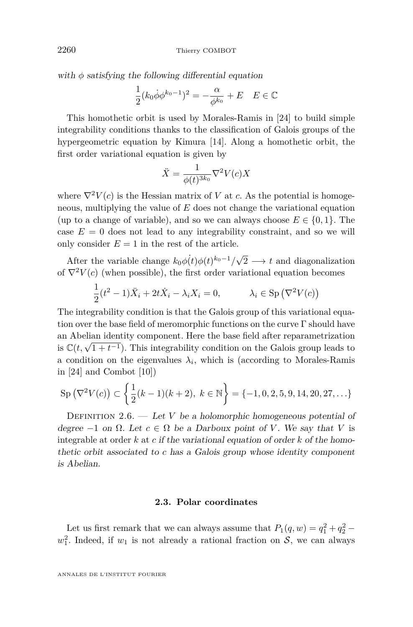with  $\phi$  satisfying the following differential equation

$$
\frac{1}{2}(k_0 \dot{\phi} \phi^{k_0 - 1})^2 = -\frac{\alpha}{\phi^{k_0}} + E \quad E \in \mathbb{C}
$$

This homothetic orbit is used by Morales-Ramis in [\[24\]](#page-45-12) to build simple integrability conditions thanks to the classification of Galois groups of the hypergeometric equation by Kimura [\[14\]](#page-45-13). Along a homothetic orbit, the first order variational equation is given by

$$
\ddot{X} = \frac{1}{\phi(t)^{3k_0}} \nabla^2 V(c) X
$$

where  $\nabla^2 V(c)$  is the Hessian matrix of *V* at *c*. As the potential is homogeneous, multiplying the value of *E* does not change the variational equation (up to a change of variable), and so we can always choose  $E \in \{0, 1\}$ . The case  $E = 0$  does not lead to any integrability constraint, and so we will only consider  $E = 1$  in the rest of the article.

After the variable change  $k_0 \phi(t) \phi(t)^{k_0-1}/\sqrt{\frac{m}{k_0}}$  $2 \longrightarrow t$  and diagonalization of  $\nabla^2 V(c)$  (when possible), the first order variational equation becomes

$$
\frac{1}{2}(t^2 - 1)\ddot{X}_i + 2t\dot{X}_i - \lambda_i X_i = 0, \qquad \lambda_i \in \text{Sp}\left(\nabla^2 V(c)\right)
$$

The integrability condition is that the Galois group of this variational equation over the base field of meromorphic functions on the curve  $\Gamma$  should have an Abelian identity component. Here the base field after reparametrization is  $\mathbb{C}(t, \sqrt{1+t^{-1}})$ . This integrability condition on the Galois group leads to a condition on the eigenvalues  $\lambda_i$ , which is (according to Morales-Ramis in [\[24\]](#page-45-12) and Combot [\[10\]](#page-44-2))

$$
Sp(\nabla^2 V(c)) \subset \left\{ \frac{1}{2}(k-1)(k+2), \ k \in \mathbb{N} \right\} = \{-1, 0, 2, 5, 9, 14, 20, 27, \ldots\}
$$

DEFINITION  $2.6.$  — Let *V* be a holomorphic homogeneous potential of degree  $-1$  on  $\Omega$ . Let  $c \in \Omega$  be a Darboux point of *V*. We say that *V* is integrable at order *k* at *c* if the variational equation of order *k* of the homothetic orbit associated to *c* has a Galois group whose identity component is Abelian.

#### **2.3. Polar coordinates**

Let us first remark that we can always assume that  $P_1(q, w) = q_1^2 + q_2^2$  –  $w_1^2$ . Indeed, if  $w_1$  is not already a rational fraction on S, we can always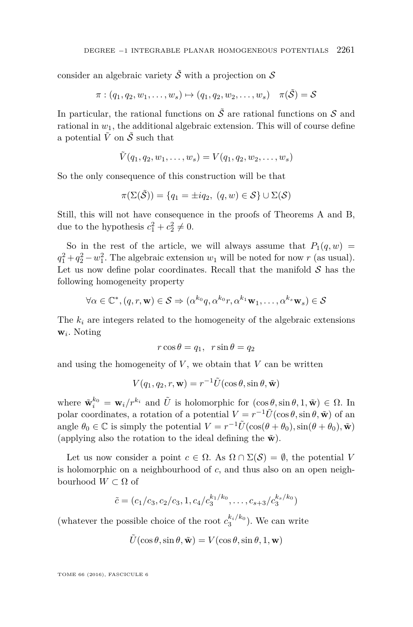consider an algebraic variety  $\tilde{\mathcal{S}}$  with a projection on S

 $\pi : (q_1, q_2, w_1, \ldots, w_s) \mapsto (q_1, q_2, w_2, \ldots, w_s) \quad \pi(\tilde{S}) = S$ 

In particular, the rational functions on  $\tilde{\mathcal{S}}$  are rational functions on  $\mathcal{S}$  and rational in  $w_1$ , the additional algebraic extension. This will of course define a potential  $\tilde{V}$  on  $\tilde{S}$  such that

$$
\tilde{V}(q_1, q_2, w_1, \ldots, w_s) = V(q_1, q_2, w_2, \ldots, w_s)
$$

So the only consequence of this construction will be that

$$
\pi(\Sigma(\tilde{\mathcal{S}})) = \{q_1 = \pm iq_2, \ (q, w) \in \mathcal{S}\} \cup \Sigma(\mathcal{S})
$$

Still, this will not have consequence in the proofs of Theorems [A](#page-2-0) and [B,](#page-3-1) due to the hypothesis  $c_1^2 + c_2^2 \neq 0$ .

So in the rest of the article, we will always assume that  $P_1(q, w)$  =  $q_1^2 + q_2^2 - w_1^2$ . The algebraic extension  $w_1$  will be noted for now *r* (as usual). Let us now define polar coordinates. Recall that the manifold  $S$  has the following homogeneity property

$$
\forall \alpha \in \mathbb{C}^*, (q, r, \mathbf{w}) \in \mathcal{S} \Rightarrow (\alpha^{k_0}q, \alpha^{k_0}r, \alpha^{k_1}\mathbf{w}_1, \dots, \alpha^{k_s}\mathbf{w}_s) \in \mathcal{S}
$$

The  $k_i$  are integers related to the homogeneity of the algebraic extensions **w***<sup>i</sup>* . Noting

$$
r\cos\theta = q_1, \ \ r\sin\theta = q_2
$$

and using the homogeneity of  $V$ , we obtain that  $V$  can be written

$$
V(q_1, q_2, r, \mathbf{w}) = r^{-1} \tilde{U}(\cos \theta, \sin \theta, \tilde{\mathbf{w}})
$$

where  $\tilde{\mathbf{w}}_i^{k_0} = \mathbf{w}_i/r^{k_i}$  and  $\tilde{U}$  is holomorphic for  $(\cos \theta, \sin \theta, 1, \tilde{\mathbf{w}}) \in \Omega$ . In polar coordinates, a rotation of a potential  $V = r^{-1}\tilde{U}(\cos\theta, \sin\theta, \tilde{\mathbf{w}})$  of an angle  $\theta_0 \in \mathbb{C}$  is simply the potential  $V = r^{-1}\tilde{U}(\cos(\theta + \theta_0), \sin(\theta + \theta_0), \tilde{\mathbf{w}})$ (applying also the rotation to the ideal defining the  $\tilde{\mathbf{w}}$ ).

Let us now consider a point  $c \in \Omega$ . As  $\Omega \cap \Sigma(\mathcal{S}) = \emptyset$ , the potential *V* is holomorphic on a neighbourhood of *c*, and thus also on an open neighbourhood  $W \subset \Omega$  of

$$
\tilde{c} = (c_1/c_3, c_2/c_3, 1, c_4/c_3^{k_1/k_0}, \dots, c_{s+3}/c_3^{k_s/k_0})
$$

(whatever the possible choice of the root  $c_3^{k_i/k_0}$ ). We can write

$$
\tilde{U}(\cos\theta, \sin\theta, \tilde{\mathbf{w}}) = V(\cos\theta, \sin\theta, 1, \mathbf{w})
$$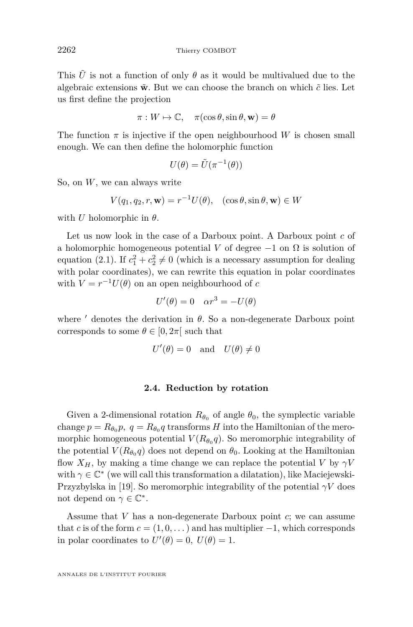This  $\tilde{U}$  is not a function of only  $\theta$  as it would be multivalued due to the algebraic extensions  $\tilde{\mathbf{w}}$ . But we can choose the branch on which  $\tilde{c}$  lies. Let us first define the projection

$$
\pi: W \mapsto \mathbb{C}, \quad \pi(\cos \theta, \sin \theta, \mathbf{w}) = \theta
$$

The function  $\pi$  is injective if the open neighbourhood *W* is chosen small enough. We can then define the holomorphic function

$$
U(\theta) = \tilde{U}(\pi^{-1}(\theta))
$$

So, on *W*, we can always write

$$
V(q_1, q_2, r, \mathbf{w}) = r^{-1} U(\theta), \quad (\cos \theta, \sin \theta, \mathbf{w}) \in W
$$

with *U* holomorphic in  $\theta$ .

Let us now look in the case of a Darboux point. A Darboux point *c* of a holomorphic homogeneous potential *V* of degree  $-1$  on  $\Omega$  is solution of equation [\(2.1\)](#page-7-1). If  $c_1^2 + c_2^2 \neq 0$  (which is a necessary assumption for dealing with polar coordinates), we can rewrite this equation in polar coordinates with  $V = r^{-1}U(\theta)$  on an open neighbourhood of *c* 

$$
U'(\theta) = 0 \quad \alpha r^3 = -U(\theta)
$$

where  $\prime$  denotes the derivation in  $\theta$ . So a non-degenerate Darboux point corresponds to some  $\theta \in [0, 2\pi]$  such that

$$
U'(\theta) = 0 \quad \text{and} \quad U(\theta) \neq 0
$$

#### **2.4. Reduction by rotation**

Given a 2-dimensional rotation  $R_{\theta_0}$  of angle  $\theta_0$ , the symplectic variable change  $p = R_{\theta_0} p$ ,  $q = R_{\theta_0} q$  transforms *H* into the Hamiltonian of the meromorphic homogeneous potential  $V(R_{\theta_0}q)$ . So meromorphic integrability of the potential  $V(R_{\theta_0}q)$  does not depend on  $\theta_0$ . Looking at the Hamiltonian flow  $X_H$ , by making a time change we can replace the potential *V* by  $\gamma V$ with  $\gamma \in \mathbb{C}^*$  (we will call this transformation a dilatation), like Maciejewski-Przyzbylska in [\[19\]](#page-45-5). So meromorphic integrability of the potential *γV* does not depend on  $\gamma \in \mathbb{C}^*$ .

Assume that *V* has a non-degenerate Darboux point *c*; we can assume that *c* is of the form  $c = (1, 0, \dots)$  and has multiplier  $-1$ , which corresponds in polar coordinates to  $U'(\theta) = 0$ ,  $U(\theta) = 1$ .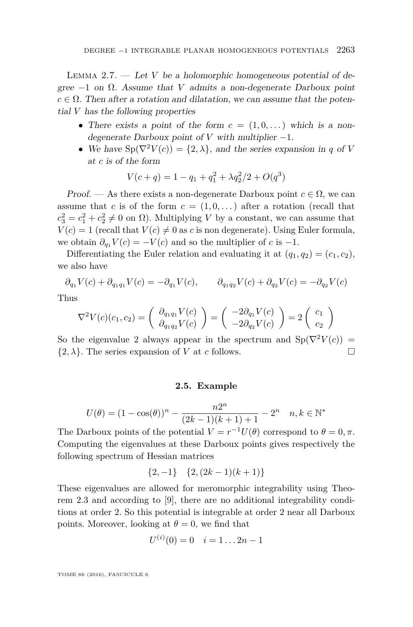LEMMA 2.7.  $\qquad$  Let *V* be a holomorphic homogeneous potential of degree  $-1$  on  $\Omega$ . Assume that *V* admits a non-degenerate Darboux point  $c \in \Omega$ . Then after a rotation and dilatation, we can assume that the potential *V* has the following properties

- There exists a point of the form  $c = (1, 0, ...)$  which is a nondegenerate Darboux point of  $V$  with multiplier  $-1$ .
- We have  $Sp(\nabla^2 V(c)) = \{2, \lambda\}$ , and the series expansion in *q* of *V* at *c* is of the form

$$
V(c+q) = 1 - q_1 + q_1^2 + \lambda q_2^2 / 2 + O(q^3)
$$

Proof. — As there exists a non-degenerate Darboux point  $c \in \Omega$ , we can assume that *c* is of the form  $c = (1, 0, \dots)$  after a rotation (recall that  $c_3^2 = c_1^2 + c_2^2 \neq 0$  on  $\Omega$ ). Multiplying *V* by a constant, we can assume that  $V(c) = 1$  (recall that  $V(c) \neq 0$  as *c* is non degenerate). Using Euler formula, we obtain  $\partial_{q_1} V(c) = -V(c)$  and so the multiplier of *c* is -1.

Differentiating the Euler relation and evaluating it at  $(q_1, q_2) = (c_1, c_2)$ , we also have

$$
\partial_{q_1} V(c) + \partial_{q_1 q_1} V(c) = -\partial_{q_1} V(c), \qquad \partial_{q_1 q_2} V(c) + \partial_{q_2} V(c) = -\partial_{q_2} V(c)
$$

Thus

$$
\nabla^2 V(c)(c_1, c_2) = \begin{pmatrix} \partial_{q_1 q_1} V(c) \\ \partial_{q_1 q_2} V(c) \end{pmatrix} = \begin{pmatrix} -2\partial_{q_1} V(c) \\ -2\partial_{q_2} V(c) \end{pmatrix} = 2 \begin{pmatrix} c_1 \\ c_2 \end{pmatrix}
$$

So the eigenvalue 2 always appear in the spectrum and  $Sp(\nabla^2 V(c))$  =  $\{2, \lambda\}$ . The series expansion of *V* at *c* follows.

#### **2.5. Example**

$$
U(\theta) = (1 - \cos(\theta))^n - \frac{n2^n}{(2k-1)(k+1)+1} - 2^n \quad n, k \in \mathbb{N}^*
$$

The Darboux points of the potential  $V = r^{-1}U(\theta)$  correspond to  $\theta = 0, \pi$ . Computing the eigenvalues at these Darboux points gives respectively the following spectrum of Hessian matrices

$$
\{2, -1\} \quad \{2, (2k-1)(k+1)\}
$$

These eigenvalues are allowed for meromorphic integrability using Theorem [2.3](#page-7-0) and according to [\[9\]](#page-44-4), there are no additional integrability conditions at order 2. So this potential is integrable at order 2 near all Darboux points. Moreover, looking at  $\theta = 0$ , we find that

$$
U^{(i)}(0) = 0 \quad i = 1 \dots 2n - 1
$$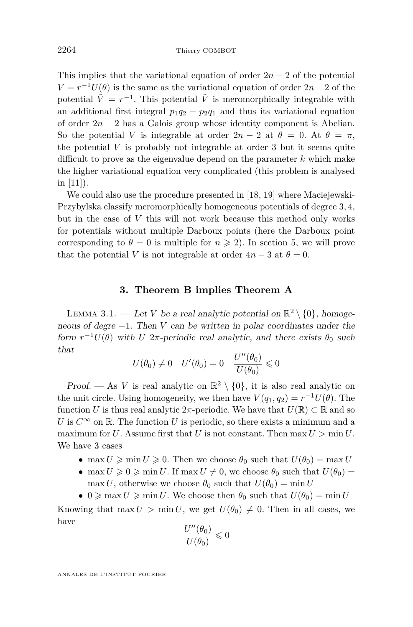This implies that the variational equation of order  $2n-2$  of the potential  $V = r^{-1}U(\theta)$  is the same as the variational equation of order  $2n - 2$  of the potential  $\tilde{V} = r^{-1}$ . This potential  $\tilde{V}$  is meromorphically integrable with an additional first integral  $p_1q_2 - p_2q_1$  and thus its variational equation of order 2*n* − 2 has a Galois group whose identity component is Abelian. So the potential *V* is integrable at order  $2n-2$  at  $\theta = 0$ . At  $\theta = \pi$ , the potential *V* is probably not integrable at order 3 but it seems quite difficult to prove as the eigenvalue depend on the parameter *k* which make the higher variational equation very complicated (this problem is analysed in [\[11\]](#page-45-14)).

We could also use the procedure presented in [\[18,](#page-45-4) [19\]](#page-45-5) where Maciejewski-Przybylska classify meromorphically homogeneous potentials of degree 3*,* 4, but in the case of *V* this will not work because this method only works for potentials without multiple Darboux points (here the Darboux point corresponding to  $\theta = 0$  is multiple for  $n \ge 2$ ). In section 5, we will prove that the potential *V* is not integrable at order  $4n-3$  at  $\theta = 0$ .

#### **3. Theorem [B](#page-3-1) implies Theorem [A](#page-2-0)**

<span id="page-12-1"></span><span id="page-12-0"></span>LEMMA 3.1. — Let *V* be a real analytic potential on  $\mathbb{R}^2 \setminus \{0\}$ , homogeneous of degre −1. Then *V* can be written in polar coordinates under the form  $r^{-1}U(\theta)$  with *U* 2*π*-periodic real analytic, and there exists  $\theta_0$  such that

$$
U(\theta_0) \neq 0 \quad U'(\theta_0) = 0 \quad \frac{U''(\theta_0)}{U(\theta_0)} \leq 0
$$

Proof. — As *V* is real analytic on  $\mathbb{R}^2 \setminus \{0\}$ , it is also real analytic on the unit circle. Using homogeneity, we then have  $V(q_1, q_2) = r^{-1}U(\theta)$ . The function *U* is thus real analytic  $2\pi$ -periodic. We have that  $U(\mathbb{R}) \subset \mathbb{R}$  and so *U* is  $C^{\infty}$  on  $\mathbb{R}$ . The function *U* is periodic, so there exists a minimum and a maximum for *U*. Assume first that *U* is not constant. Then max  $U > \min U$ . We have 3 cases

- max  $U \geqslant \min U \geqslant 0$ . Then we choose  $\theta_0$  such that  $U(\theta_0) = \max U$
- max  $U \ge 0 \ge \min U$ . If max  $U \ne 0$ , we choose  $\theta_0$  such that  $U(\theta_0) =$ max *U*, otherwise we choose  $\theta_0$  such that  $U(\theta_0) = \min U$
- $0 \ge \max U \ge \min U$ . We choose then  $\theta_0$  such that  $U(\theta_0) = \min U$

Knowing that max  $U > \min U$ , we get  $U(\theta_0) \neq 0$ . Then in all cases, we have

$$
\frac{U''(\theta_0)}{U(\theta_0)}\leqslant 0
$$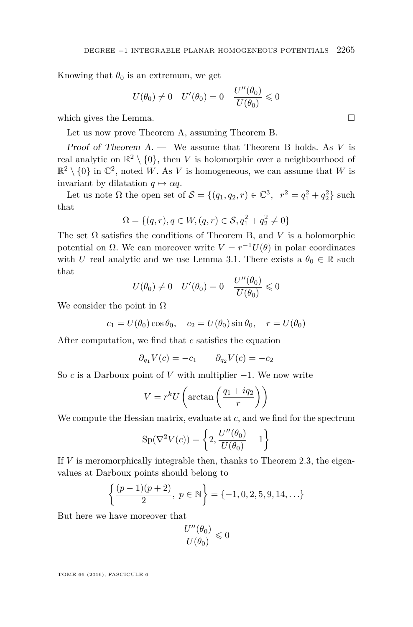Knowing that  $\theta_0$  is an extremum, we get

$$
U(\theta_0) \neq 0 \quad U'(\theta_0) = 0 \quad \frac{U''(\theta_0)}{U(\theta_0)} \leq 0
$$

which gives the Lemma.

Let us now prove Theorem [A,](#page-2-0) assuming Theorem [B.](#page-3-1)

Proof of Theorem [A.](#page-2-0) — We assume that Theorem [B](#page-3-1) holds. As *V* is real analytic on  $\mathbb{R}^2 \setminus \{0\}$ , then *V* is holomorphic over a neighbourhood of  $\mathbb{R}^2 \setminus \{0\}$  in  $\mathbb{C}^2$ , noted W. As V is homogeneous, we can assume that W is invariant by dilatation  $q \mapsto \alpha q$ .

Let us note  $\Omega$  the open set of  $S = \{(q_1, q_2, r) \in \mathbb{C}^3, r^2 = q_1^2 + q_2^2\}$  such that

$$
\Omega = \{ (q, r), q \in W, (q, r) \in S, q_1^2 + q_2^2 \neq 0 \}
$$

The set  $\Omega$  satisfies the conditions of Theorem [B,](#page-3-1) and *V* is a holomorphic potential on  $\Omega$ . We can moreover write  $V = r^{-1}U(\theta)$  in polar coordinates with *U* real analytic and we use Lemma [3.1.](#page-12-1) There exists a  $\theta_0 \in \mathbb{R}$  such that

$$
U(\theta_0) \neq 0 \quad U'(\theta_0) = 0 \quad \frac{U''(\theta_0)}{U(\theta_0)} \leq 0
$$

We consider the point in  $\Omega$ 

 $c_1 = U(\theta_0) \cos \theta_0$ ,  $c_2 = U(\theta_0) \sin \theta_0$ ,  $r = U(\theta_0)$ 

After computation, we find that *c* satisfies the equation

$$
\partial_{q_1} V(c) = -c_1 \qquad \partial_{q_2} V(c) = -c_2
$$

So *c* is a Darboux point of *V* with multiplier −1. We now write

$$
V = r^k U \left( \arctan\left(\frac{q_1 + iq_2}{r}\right) \right)
$$

We compute the Hessian matrix, evaluate at *c*, and we find for the spectrum

$$
Sp(\nabla^2 V(c)) = \left\{ 2, \frac{U''(\theta_0)}{U(\theta_0)} - 1 \right\}
$$

If *V* is meromorphically integrable then, thanks to Theorem [2.3,](#page-7-0) the eigenvalues at Darboux points should belong to

$$
\left\{\frac{(p-1)(p+2)}{2},\ p \in \mathbb{N}\right\} = \{-1,0,2,5,9,14,\ldots\}
$$

But here we have moreover that

$$
\frac{U''(\theta_0)}{U(\theta_0)} \leqslant 0
$$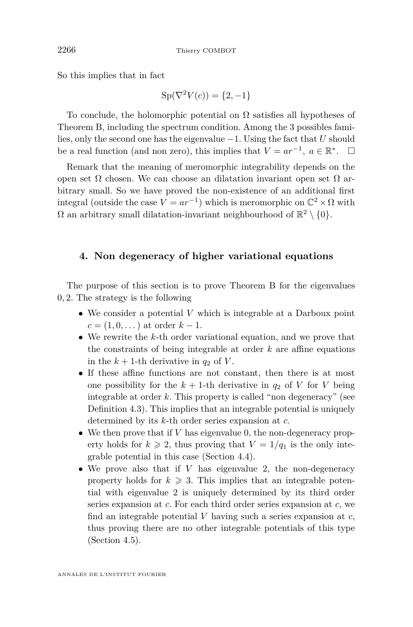So this implies that in fact

$$
Sp(\nabla^2 V(c)) = \{2, -1\}
$$

To conclude, the holomorphic potential on  $\Omega$  satisfies all hypotheses of Theorem [B,](#page-3-1) including the spectrum condition. Among the 3 possibles families, only the second one has the eigenvalue −1. Using the fact that *U* should be a real function (and non zero), this implies that  $V = ar^{-1}$ ,  $a \in \mathbb{R}^*$ .  $\Box$ 

Remark that the meaning of meromorphic integrability depends on the open set  $\Omega$  chosen. We can choose an dilatation invariant open set  $\Omega$  arbitrary small. So we have proved the non-existence of an additional first integral (outside the case  $V = ar^{-1}$ ) which is meromorphic on  $\mathbb{C}^2 \times \Omega$  with  $\Omega$  an arbitrary small dilatation-invariant neighbourhood of  $\mathbb{R}^2 \setminus \{0\}$ .

#### <span id="page-14-0"></span>**4. Non degeneracy of higher variational equations**

The purpose of this section is to prove Theorem [B](#page-3-1) for the eigenvalues 0*,* 2. The strategy is the following

- We consider a potential *V* which is integrable at a Darboux point  $c = (1, 0, \dots)$  at order  $k - 1$ .
- We rewrite the *k*-th order variational equation, and we prove that the constraints of being integrable at order *k* are affine equations in the  $k + 1$ -th derivative in  $q_2$  of V.
- If these affine functions are not constant, then there is at most one possibility for the  $k + 1$ -th derivative in  $q_2$  of *V* for *V* being integrable at order *k*. This property is called "non degeneracy" (see Definition [4.3\)](#page-20-0). This implies that an integrable potential is uniquely determined by its *k*-th order series expansion at *c*.
- We then prove that if *V* has eigenvalue 0, the non-degeneracy property holds for  $k \ge 2$ , thus proving that  $V = 1/q_1$  is the only integrable potential in this case (Section [4.4\)](#page-22-0).
- We prove also that if *V* has eigenvalue 2, the non-degeneracy property holds for  $k \geqslant 3$ . This implies that an integrable potential with eigenvalue 2 is uniquely determined by its third order series expansion at *c*. For each third order series expansion at *c*, we find an integrable potential *V* having such a series expansion at *c*, thus proving there are no other integrable potentials of this type (Section [4.5\)](#page-23-0).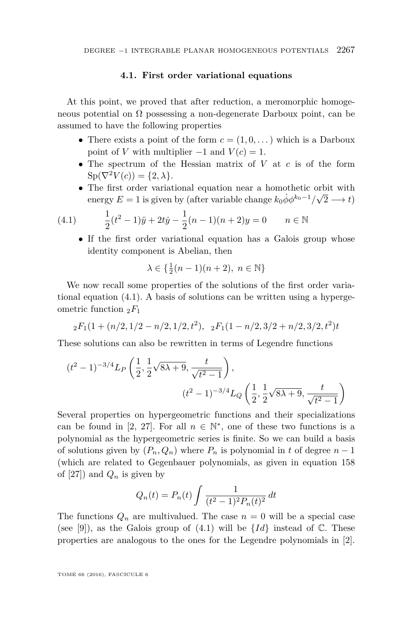#### **4.1. First order variational equations**

At this point, we proved that after reduction, a meromorphic homogeneous potential on  $\Omega$  possessing a non-degenerate Darboux point, can be assumed to have the following properties

- There exists a point of the form  $c = (1, 0, \dots)$  which is a Darboux point of *V* with multiplier  $-1$  and  $V(c) = 1$ .
- The spectrum of the Hessian matrix of *V* at *c* is of the form  $\text{Sp}(\nabla^2 V(c)) = \{2, \lambda\}.$
- The first order variational equation near a homothetic orbit with energy  $E = 1$  is given by (after variable change  $k_0 \dot{\phi} \phi^{k_0-1}/\sqrt{2}$  $(2 \rightarrow t)$

(4.1) 
$$
\frac{1}{2}(t^2 - 1)\ddot{y} + 2t\dot{y} - \frac{1}{2}(n-1)(n+2)y = 0 \qquad n \in \mathbb{N}
$$

<span id="page-15-0"></span>• If the first order variational equation has a Galois group whose identity component is Abelian, then

$$
\lambda\in\{\tfrac12(n-1)(n+2),\;n\in\mathbb{N}\}
$$

We now recall some properties of the solutions of the first order variational equation [\(4.1\)](#page-15-0). A basis of solutions can be written using a hypergeometric function <sup>2</sup>*F*<sup>1</sup>

$$
{}_2F_1(1+(n/2,1/2-n/2,1/2,t^2), 2F_1(1-n/2,3/2+n/2,3/2,t^2)t
$$

These solutions can also be rewritten in terms of Legendre functions

$$
(t^{2} - 1)^{-3/4} L_{P}\left(\frac{1}{2}, \frac{1}{2}\sqrt{8\lambda + 9}, \frac{t}{\sqrt{t^{2} - 1}}\right),
$$

$$
(t^{2} - 1)^{-3/4} L_{Q}\left(\frac{1}{2}, \frac{1}{2}\sqrt{8\lambda + 9}, \frac{t}{\sqrt{t^{2} - 1}}\right)
$$

Several properties on hypergeometric functions and their specializations can be found in [\[2,](#page-44-5) [27\]](#page-45-15). For all  $n \in \mathbb{N}^*$ , one of these two functions is a polynomial as the hypergeometric series is finite. So we can build a basis of solutions given by  $(P_n, Q_n)$  where  $P_n$  is polynomial in t of degree  $n-1$ (which are related to Gegenbauer polynomials, as given in equation 158 of [\[27\]](#page-45-15)) and  $Q_n$  is given by

$$
Q_n(t) = P_n(t) \int \frac{1}{(t^2 - 1)^2 P_n(t)^2} dt
$$

The functions  $Q_n$  are multivalued. The case  $n = 0$  will be a special case (see [\[9\]](#page-44-4)), as the Galois group of  $(4.1)$  will be  ${Id}$  instead of  $\mathbb{C}$ . These properties are analogous to the ones for the Legendre polynomials in [\[2\]](#page-44-5).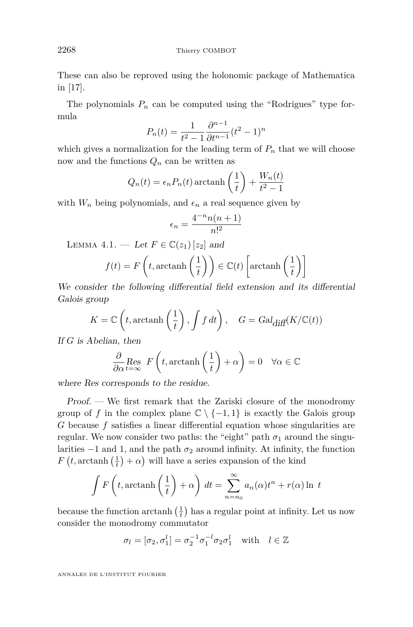These can also be reproved using the holonomic package of Mathematica in [\[17\]](#page-45-16).

The polynomials  $P_n$  can be computed using the "Rodrigues" type formula

$$
P_n(t) = \frac{1}{t^2 - 1} \frac{\partial^{n-1}}{\partial t^{n-1}} (t^2 - 1)^n
$$

which gives a normalization for the leading term of  $P_n$  that we will choose now and the functions  $Q_n$  can be written as

$$
Q_n(t) = \epsilon_n P_n(t) \operatorname{arctanh}\left(\frac{1}{t}\right) + \frac{W_n(t)}{t^2 - 1}
$$

with  $W_n$  being polynomials, and  $\epsilon_n$  a real sequence given by

$$
\epsilon_n = \frac{4^{-n}n(n+1)}{n!^2}
$$

<span id="page-16-0"></span>LEMMA 4.1. — Let  $F \in \mathbb{C}(z_1)[z_2]$  and

$$
f(t) = F\left(t, \operatorname{arctanh}\left(\frac{1}{t}\right)\right) \in \mathbb{C}(t) \left[\operatorname{arctanh}\left(\frac{1}{t}\right)\right]
$$

We consider the following differential field extension and its differential Galois group

$$
K = \mathbb{C}\left(t, \operatorname{arctanh}\left(\frac{1}{t}\right), \int f dt\right), \quad G = \operatorname{Gal}_{\text{diff}}(K/\mathbb{C}(t))
$$

If *G* is Abelian, then

$$
\frac{\partial}{\partial \alpha} \underset{t = \infty}{\text{Res}} \ F\left(t, \text{arctanh}\left(\frac{1}{t}\right) + \alpha\right) = 0 \quad \forall \alpha \in \mathbb{C}
$$

where Res corresponds to the residue.

Proof. — We first remark that the Zariski closure of the monodromy group of *f* in the complex plane  $\mathbb{C} \setminus \{-1,1\}$  is exactly the Galois group *G* because *f* satisfies a linear differential equation whose singularities are regular. We now consider two paths: the "eight" path  $\sigma_1$  around the singularities −1 and 1, and the path *σ*<sup>2</sup> around infinity. At infinity, the function  $F(t, \text{arctanh}(\frac{1}{t}) + \alpha)$  will have a series expansion of the kind

$$
\int F\left(t, \operatorname{arctanh}\left(\frac{1}{t}\right) + \alpha\right) dt = \sum_{n=n_0}^{\infty} a_n(\alpha)t^n + r(\alpha) \ln t
$$

because the function  $\arctanh\left(\frac{1}{t}\right)$  has a regular point at infinity. Let us now consider the monodromy commutator

$$
\sigma_l = [\sigma_2, \sigma_1^l] = \sigma_2^{-1} \sigma_1^{-l} \sigma_2 \sigma_1^l \quad \text{with} \quad l \in \mathbb{Z}
$$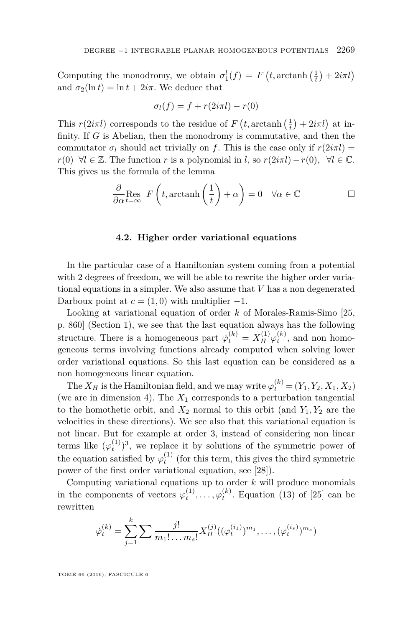Computing the monodromy, we obtain  $\sigma_1^l(f) = F(t, \arctanh(\frac{1}{t}) + 2i\pi l)$ and  $\sigma_2(\ln t) = \ln t + 2i\pi$ . We deduce that

$$
\sigma_l(f) = f + r(2i\pi l) - r(0)
$$

This  $r(2i\pi l)$  corresponds to the residue of  $F(t, \arctanh(\frac{1}{t}) + 2i\pi l)$  at infinity. If *G* is Abelian, then the monodromy is commutative, and then the commutator  $\sigma_l$  should act trivially on *f*. This is the case only if  $r(2i\pi l)$  = *r*(0) ∀*l* ∈ Z. The function *r* is a polynomial in *l*, so  $r(2i\pi l) - r(0)$ , ∀*l* ∈ C. This gives us the formula of the lemma

$$
\frac{\partial}{\partial \alpha} \underset{t = \infty}{\text{Res}} F\left(t, \arctanh\left(\frac{1}{t}\right) + \alpha\right) = 0 \quad \forall \alpha \in \mathbb{C}
$$

#### **4.2. Higher order variational equations**

<span id="page-17-0"></span>In the particular case of a Hamiltonian system coming from a potential with 2 degrees of freedom, we will be able to rewrite the higher order variational equations in a simpler. We also assume that *V* has a non degenerated Darboux point at  $c = (1, 0)$  with multiplier  $-1$ .

Looking at variational equation of order *k* of Morales-Ramis-Simo [\[25,](#page-45-0) p. 860] (Section [1\)](#page-3-0), we see that the last equation always has the following structure. There is a homogeneous part  $\dot{\varphi}_t^{(k)} = X_H^{(1)} \varphi_t^{(k)}$ , and non homogeneous terms involving functions already computed when solving lower order variational equations. So this last equation can be considered as a non homogeneous linear equation.

The  $X_H$  is the Hamiltonian field, and we may write  $\varphi_t^{(k)} = (Y_1, Y_2, X_1, X_2)$ (we are in dimension 4). The  $X_1$  corresponds to a perturbation tangential to the homothetic orbit, and  $X_2$  normal to this orbit (and  $Y_1, Y_2$  are the velocities in these directions). We see also that this variational equation is not linear. But for example at order 3, instead of considering non linear terms like  $(\varphi_t^{(1)})^3$ , we replace it by solutions of the symmetric power of the equation satisfied by  $\varphi_t^{(1)}$  (for this term, this gives the third symmetric power of the first order variational equation, see [\[28\]](#page-45-17)).

Computing variational equations up to order *k* will produce monomials in the components of vectors  $\varphi_t^{(1)}, \ldots, \varphi_t^{(k)}$ . Equation (13) of [\[25\]](#page-45-0) can be rewritten

$$
\dot{\varphi}_t^{(k)} = \sum_{j=1}^k \sum \frac{j!}{m_1! \dots m_s!} X_H^{(j)}((\varphi_t^{(i_1)})^{m_1}, \dots, (\varphi_t^{(i_s)})^{m_s})
$$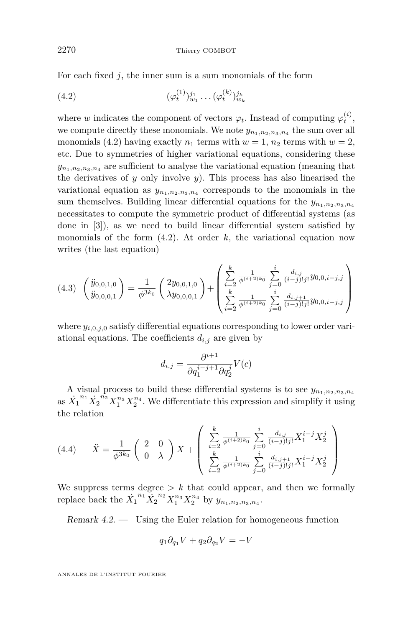For each fixed *j*, the inner sum is a sum monomials of the form

<span id="page-18-0"></span>(4.2) 
$$
(\varphi_t^{(1)})_{w_1}^{j_1} \dots (\varphi_t^{(k)})_{w_k}^{j_k}
$$

where *w* indicates the component of vectors  $\varphi_t$ . Instead of computing  $\varphi_t^{(i)}$ , we compute directly these monomials. We note  $y_{n_1,n_2,n_3,n_4}$  the sum over all monomials [\(4.2\)](#page-18-0) having exactly  $n_1$  terms with  $w = 1$ ,  $n_2$  terms with  $w = 2$ , etc. Due to symmetries of higher variational equations, considering these  $y_{n_1,n_2,n_3,n_4}$  are sufficient to analyse the variational equation (meaning that the derivatives of  $y$  only involve  $y$ ). This process has also linearised the variational equation as  $y_{n_1,n_2,n_3,n_4}$  corresponds to the monomials in the sum themselves. Building linear differential equations for the  $y_{n_1,n_2,n_3,n_4}$ necessitates to compute the symmetric product of differential systems (as done in [\[3\]](#page-44-6)), as we need to build linear differential system satisfied by monomials of the form  $(4.2)$ . At order  $k$ , the variational equation now writes (the last equation)

<span id="page-18-1"></span>
$$
(4.3) \quad \begin{pmatrix} \ddot{y}_{0,0,1,0} \\ \ddot{y}_{0,0,0,1} \end{pmatrix} = \frac{1}{\phi^{3k_0}} \begin{pmatrix} 2y_{0,0,1,0} \\ \lambda y_{0,0,0,1} \end{pmatrix} + \begin{pmatrix} \sum_{i=2}^{k} \frac{1}{\phi^{(i+2)k_0}} \sum_{j=0}^{i} \frac{d_{i,j}}{(i-j)!j!} y_{0,0,i-j,j} \\ \sum_{i=2}^{k} \frac{1}{\phi^{(i+2)k_0}} \sum_{j=0}^{i} \frac{d_{i,j+1}}{(i-j)!j!} y_{0,0,i-j,j} \end{pmatrix}
$$

where  $y_{i,0,i,0}$  satisfy differential equations corresponding to lower order variational equations. The coefficients  $d_{i,j}$  are given by

$$
d_{i,j} = \frac{\partial^{i+1}}{\partial q_1^{i-j+1} \partial q_2^j} V(c)
$$

A visual process to build these differential systems is to see  $y_{n_1,n_2,n_3,n_4}$ as  $\dot{X_1}^{n_1} \dot{X_2}^{n_2} X_1^{n_3} X_2^{n_4}$ . We differentiate this expression and simplify it using the relation

<span id="page-18-3"></span>
$$
(4.4) \qquad \ddot{X} = \frac{1}{\phi^{3k_0}} \begin{pmatrix} 2 & 0 \\ 0 & \lambda \end{pmatrix} X + \begin{pmatrix} \sum_{i=2}^{k} \frac{1}{\phi^{(i+2)k_0}} \sum_{j=0}^{i} \frac{d_{i,j}}{(i-j)!j!} X_1^{i-j} X_2^j \\ \sum_{i=2}^{k} \frac{1}{\phi^{(i+2)k_0}} \sum_{j=0}^{i} \frac{d_{i,j+1}}{(i-j)!j!} X_1^{i-j} X_2^j \end{pmatrix}
$$

We suppress terms degree  $\geq k$  that could appear, and then we formally replace back the  $\dot{X}_1^{n_1} \dot{X}_2^{n_2} X_1^{n_3} X_2^{n_4}$  by  $y_{n_1, n_2, n_3, n_4}$ .

<span id="page-18-2"></span>Remark 4.2. — Using the Euler relation for homogeneous function

$$
q_1 \partial_{q_1} V + q_2 \partial_{q_2} V = -V
$$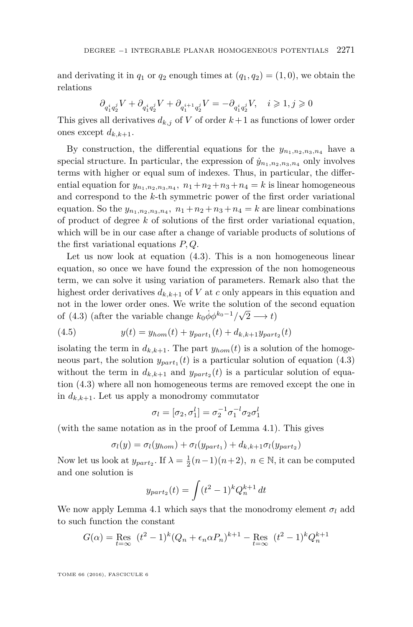and derivating it in  $q_1$  or  $q_2$  enough times at  $(q_1, q_2) = (1, 0)$ , we obtain the relations

$$
\partial_{q^i_1q^j_2}V+\partial_{q^i_1q^j_2}V+\partial_{q^{i+1}_1q^j_2}V=-\partial_{q^i_1q^j_2}V,\quad i\geqslant 1, j\geqslant 0
$$

This gives all derivatives  $d_{k,j}$  of *V* of order  $k+1$  as functions of lower order ones except  $d_{k,k+1}$ .

By construction, the differential equations for the  $y_{n_1,n_2,n_3,n_4}$  have a special structure. In particular, the expression of  $\dot{y}_{n_1,n_2,n_3,n_4}$  only involves terms with higher or equal sum of indexes. Thus, in particular, the differential equation for  $y_{n_1,n_2,n_3,n_4}$ ,  $n_1+n_2+n_3+n_4=k$  is linear homogeneous and correspond to the *k*-th symmetric power of the first order variational equation. So the  $y_{n_1,n_2,n_3,n_4}$ ,  $n_1+n_2+n_3+n_4=k$  are linear combinations of product of degree *k* of solutions of the first order variational equation, which will be in our case after a change of variable products of solutions of the first variational equations *P, Q*.

Let us now look at equation [\(4.3\)](#page-18-1). This is a non homogeneous linear equation, so once we have found the expression of the non homogeneous term, we can solve it using variation of parameters. Remark also that the highest order derivatives  $d_{k,k+1}$  of *V* at *c* only appears in this equation and not in the lower order ones. We write the solution of the second equation of [\(4.3\)](#page-18-1) (after the variable change  $k_0 \dot{\phi} \phi^{k_0 - 1} / \sqrt{2} \longrightarrow t$ )

<span id="page-19-0"></span>(4.5) 
$$
y(t) = y_{hom}(t) + y_{part_1}(t) + d_{k,k+1}y_{part_2}(t)
$$

isolating the term in  $d_{k,k+1}$ . The part  $y_{hom}(t)$  is a solution of the homogeneous part, the solution  $y_{part_1}(t)$  is a particular solution of equation  $(4.3)$ without the term in  $d_{k,k+1}$  and  $y_{part_2}(t)$  is a particular solution of equation [\(4.3\)](#page-18-1) where all non homogeneous terms are removed except the one in in  $d_{k,k+1}$ . Let us apply a monodromy commutator

$$
\sigma_l = [\sigma_2, \sigma_1^l] = \sigma_2^{-1} \sigma_1^{-l} \sigma_2 \sigma_1^l
$$

(with the same notation as in the proof of Lemma [4.1\)](#page-16-0). This gives

$$
\sigma_l(y) = \sigma_l(y_{hom}) + \sigma_l(y_{part_1}) + d_{k,k+1}\sigma_l(y_{part_2})
$$

Now let us look at  $y_{part_2}$ . If  $\lambda = \frac{1}{2}(n-1)(n+2)$ ,  $n \in \mathbb{N}$ , it can be computed and one solution is

$$
y_{part_2}(t) = \int (t^2 - 1)^k Q_n^{k+1} dt
$$

We now apply Lemma [4.1](#page-16-0) which says that the monodromy element  $\sigma_l$  add to such function the constant

$$
G(\alpha) = \text{Res}_{t=\infty} (t^2 - 1)^k (Q_n + \epsilon_n \alpha P_n)^{k+1} - \text{Res}_{t=\infty} (t^2 - 1)^k Q_n^{k+1}
$$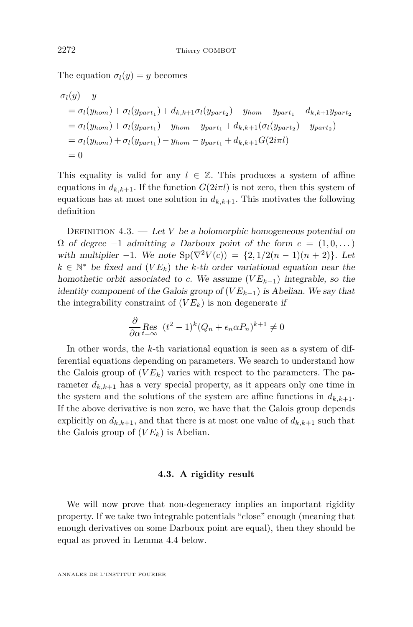The equation  $\sigma_l(y) = y$  becomes

$$
\sigma_l(y) - y
$$
  
=  $\sigma_l(y_{hom}) + \sigma_l(y_{part_1}) + d_{k,k+1}\sigma_l(y_{part_2}) - y_{hom} - y_{part_1} - d_{k,k+1}y_{part_2}$   
=  $\sigma_l(y_{hom}) + \sigma_l(y_{part_1}) - y_{hom} - y_{part_1} + d_{k,k+1}(\sigma_l(y_{part_2}) - y_{part_2})$   
=  $\sigma_l(y_{hom}) + \sigma_l(y_{part_1}) - y_{hom} - y_{part_1} + d_{k,k+1}G(2i\pi l)$   
= 0

This equality is valid for any  $l \in \mathbb{Z}$ . This produces a system of affine equations in  $d_{k,k+1}$ . If the function  $G(2i\pi l)$  is not zero, then this system of equations has at most one solution in  $d_{k,k+1}$ . This motivates the following definition

<span id="page-20-0"></span>DEFINITION  $4.3.$  — Let *V* be a holomorphic homogeneous potential on  $\Omega$  of degree  $-1$  admitting a Darboux point of the form  $c = (1, 0, \dots)$ with multiplier  $-1$ . We note  $Sp(\nabla^2 V(c)) = \{2, 1/2(n-1)(n+2)\}\)$ . Let  $k \in \mathbb{N}^*$  be fixed and  $(VE_k)$  the *k*-th order variational equation near the homothetic orbit associated to *c*. We assume  $(V E_{k-1})$  integrable, so the identity component of the Galois group of  $(V E_{k-1})$  is Abelian. We say that the integrability constraint of  $(V E_k)$  is non degenerate if

$$
\frac{\partial}{\partial \alpha} \underset{t=\infty}{\text{Res}} \ (t^2 - 1)^k (Q_n + \epsilon_n \alpha P_n)^{k+1} \neq 0
$$

In other words, the *k*-th variational equation is seen as a system of differential equations depending on parameters. We search to understand how the Galois group of  $(V E_k)$  varies with respect to the parameters. The parameter  $d_{k,k+1}$  has a very special property, as it appears only one time in the system and the solutions of the system are affine functions in  $d_{k,k+1}$ . If the above derivative is non zero, we have that the Galois group depends explicitly on  $d_{k,k+1}$ , and that there is at most one value of  $d_{k,k+1}$  such that the Galois group of  $(V E_k)$  is Abelian.

#### **4.3. A rigidity result**

We will now prove that non-degeneracy implies an important rigidity property. If we take two integrable potentials "close" enough (meaning that enough derivatives on some Darboux point are equal), then they should be equal as proved in Lemma [4.4](#page-21-0) below.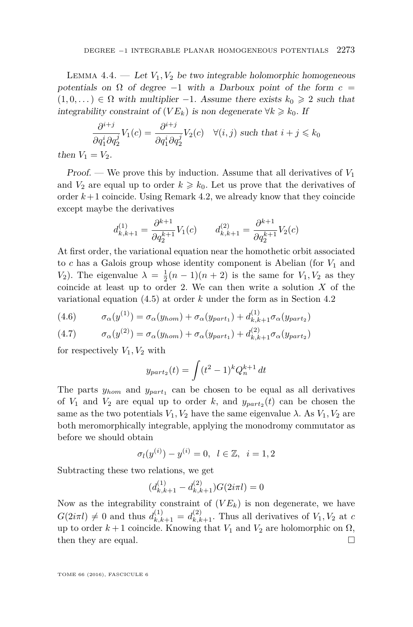<span id="page-21-0"></span>LEMMA  $4.4.$  — Let  $V_1, V_2$  be two integrable holomorphic homogeneous potentials on  $\Omega$  of degree  $-1$  with a Darboux point of the form  $c =$  $(1,0,\dots) \in \Omega$  with multiplier -1. Assume there exists  $k_0 \geq 2$  such that integrability constraint of  $(V E_k)$  is non degenerate  $\forall k \geq k_0$ . If

$$
\frac{\partial^{i+j}}{\partial q_1^i \partial q_2^j} V_1(c) = \frac{\partial^{i+j}}{\partial q_1^i \partial q_2^j} V_2(c) \quad \forall (i, j) \text{ such that } i + j \le k_0
$$
  
=  $V_2$ .

then  $V_1$ 

Proof. — We prove this by induction. Assume that all derivatives of *V*<sup>1</sup> and  $V_2$  are equal up to order  $k \geq k_0$ . Let us prove that the derivatives of order  $k+1$  coincide. Using Remark [4.2,](#page-18-2) we already know that they coincide except maybe the derivatives

$$
d_{k,k+1}^{(1)} = \frac{\partial^{k+1}}{\partial q_2^{k+1}} V_1(c) \qquad d_{k,k+1}^{(2)} = \frac{\partial^{k+1}}{\partial q_2^{k+1}} V_2(c)
$$

At first order, the variational equation near the homothetic orbit associated to  $c$  has a Galois group whose identity component is Abelian (for  $V_1$  and *V*<sub>2</sub>). The eigenvalue  $\lambda = \frac{1}{2}(n-1)(n+2)$  is the same for *V*<sub>1</sub>*, V*<sub>2</sub> as they coincide at least up to order 2. We can then write a solution *X* of the variational equation [\(4.5\)](#page-19-0) at order *k* under the form as in Section [4.2](#page-17-0)

(4.6) 
$$
\sigma_{\alpha}(y^{(1)}) = \sigma_{\alpha}(y_{hom}) + \sigma_{\alpha}(y_{part_1}) + d_{k,k+1}^{(1)}\sigma_{\alpha}(y_{part_2})
$$

(4.7) 
$$
\sigma_{\alpha}(y^{(2)}) = \sigma_{\alpha}(y_{hom}) + \sigma_{\alpha}(y_{part_1}) + d_{k,k+1}^{(2)}\sigma_{\alpha}(y_{part_2})
$$

for respectively  $V_1, V_2$  with

$$
y_{part_2}(t) = \int (t^2 - 1)^k Q_n^{k+1} dt
$$

The parts  $y_{hom}$  and  $y_{part_1}$  can be chosen to be equal as all derivatives of  $V_1$  and  $V_2$  are equal up to order k, and  $y_{part_2}(t)$  can be chosen the same as the two potentials  $V_1, V_2$  have the same eigenvalue  $\lambda$ . As  $V_1, V_2$  are both meromorphically integrable, applying the monodromy commutator as before we should obtain

$$
\sigma_l(y^{(i)}) - y^{(i)} = 0, \ \ l \in \mathbb{Z}, \ \ i = 1, 2
$$

Subtracting these two relations, we get

$$
(d_{k,k+1}^{(1)} - d_{k,k+1}^{(2)})G(2i\pi l) = 0
$$

Now as the integrability constraint of  $(V E_k)$  is non degenerate, we have  $G(2i\pi l) \neq 0$  and thus  $d_{k,k+1}^{(1)} = d_{k,k+1}^{(2)}$ . Thus all derivatives of  $V_1, V_2$  at *c* up to order  $k + 1$  coincide. Knowing that  $V_1$  and  $V_2$  are holomorphic on  $\Omega$ , then they are equal.  $\Box$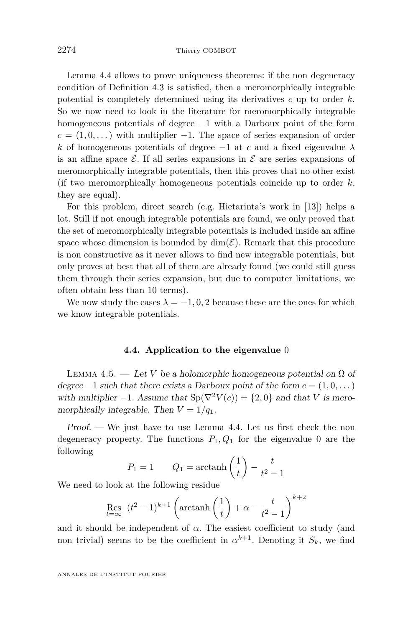Lemma [4.4](#page-21-0) allows to prove uniqueness theorems: if the non degeneracy condition of Definition [4.3](#page-20-0) is satisfied, then a meromorphically integrable potential is completely determined using its derivatives *c* up to order *k*. So we now need to look in the literature for meromorphically integrable homogeneous potentials of degree −1 with a Darboux point of the form  $c = (1, 0, \dots)$  with multiplier  $-1$ . The space of series expansion of order *k* of homogeneous potentials of degree  $-1$  at *c* and a fixed eigenvalue  $\lambda$ is an affine space  $\mathcal{E}$ . If all series expansions in  $\mathcal{E}$  are series expansions of meromorphically integrable potentials, then this proves that no other exist (if two meromorphically homogeneous potentials coincide up to order *k*, they are equal).

For this problem, direct search (e.g. Hietarinta's work in [\[13\]](#page-45-11)) helps a lot. Still if not enough integrable potentials are found, we only proved that the set of meromorphically integrable potentials is included inside an affine space whose dimension is bounded by  $\dim(\mathcal{E})$ . Remark that this procedure is non constructive as it never allows to find new integrable potentials, but only proves at best that all of them are already found (we could still guess them through their series expansion, but due to computer limitations, we often obtain less than 10 terms).

We now study the cases  $\lambda = -1, 0, 2$  because these are the ones for which we know integrable potentials.

#### **4.4. Application to the eigenvalue** 0

<span id="page-22-1"></span><span id="page-22-0"></span>LEMMA 4.5. — Let *V* be a holomorphic homogeneous potential on  $\Omega$  of degree  $-1$  such that there exists a Darboux point of the form  $c = (1, 0, \dots)$ with multiplier  $-1$ . Assume that  $Sp(\nabla^2 V(c)) = \{2, 0\}$  and that *V* is meromorphically integrable. Then  $V = 1/q_1$ .

Proof. — We just have to use Lemma [4.4.](#page-21-0) Let us first check the non degeneracy property. The functions  $P_1, Q_1$  for the eigenvalue 0 are the following

$$
P_1 = 1 \qquad Q_1 = \operatorname{arctanh}\left(\frac{1}{t}\right) - \frac{t}{t^2 - 1}
$$

We need to look at the following residue

$$
\underset{t=\infty}{\text{Res}}\ \ (t^2-1)^{k+1}\left(\text{arctanh}\left(\frac{1}{t}\right)+\alpha-\frac{t}{t^2-1}\right)^{k+2}
$$

and it should be independent of  $\alpha$ . The easiest coefficient to study (and non trivial) seems to be the coefficient in  $\alpha^{k+1}$ . Denoting it  $S_k$ , we find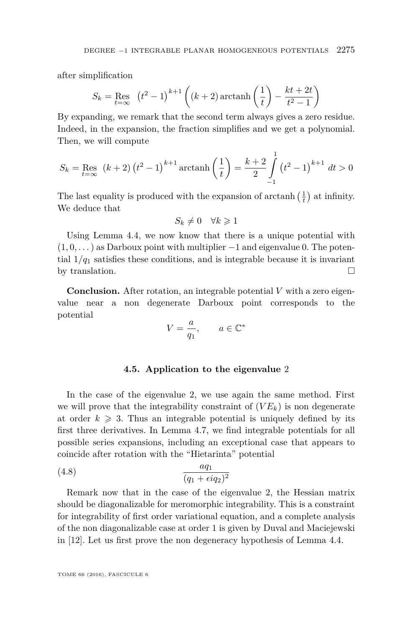after simplification

$$
S_k = \text{Res}_{t=\infty} \left( t^2 - 1 \right)^{k+1} \left( (k+2) \arctan\left( \frac{1}{t} \right) - \frac{kt + 2t}{t^2 - 1} \right)
$$

By expanding, we remark that the second term always gives a zero residue. Indeed, in the expansion, the fraction simplifies and we get a polynomial. Then, we will compute

$$
S_k = \text{Res}_{t=\infty} (k+2) (t^2 - 1)^{k+1} \operatorname{arctanh}\left(\frac{1}{t}\right) = \frac{k+2}{2} \int_{-1}^{1} (t^2 - 1)^{k+1} dt > 0
$$

The last equality is produced with the expansion of  $\arctanh\left(\frac{1}{t}\right)$  at infinity. We deduce that

$$
S_k \neq 0 \quad \forall k \geq 1
$$

Using Lemma [4.4,](#page-21-0) we now know that there is a unique potential with  $(1,0,\ldots)$  as Darboux point with multiplier  $-1$  and eigenvalue 0. The potential  $1/q_1$  satisfies these conditions, and is integrable because it is invariant by translation.  $\Box$ 

**Conclusion.** After rotation, an integrable potential *V* with a zero eigenvalue near a non degenerate Darboux point corresponds to the potential

$$
V = \frac{a}{q_1}, \qquad a \in \mathbb{C}^*
$$

#### <span id="page-23-1"></span>**4.5. Application to the eigenvalue** 2

<span id="page-23-0"></span>In the case of the eigenvalue 2, we use again the same method. First we will prove that the integrability constraint of  $(V E_k)$  is non degenerate at order  $k \geqslant 3$ . Thus an integrable potential is uniquely defined by its first three derivatives. In Lemma [4.7,](#page-25-0) we find integrable potentials for all possible series expansions, including an exceptional case that appears to coincide after rotation with the "Hietarinta" potential

$$
(4.8)\qquad \qquad \frac{aq_1}{(q_1 + \epsilon iq_2)^2}
$$

Remark now that in the case of the eigenvalue 2, the Hessian matrix should be diagonalizable for meromorphic integrability. This is a constraint for integrability of first order variational equation, and a complete analysis of the non diagonalizable case at order 1 is given by Duval and Maciejewski in [\[12\]](#page-45-18). Let us first prove the non degeneracy hypothesis of Lemma [4.4.](#page-21-0)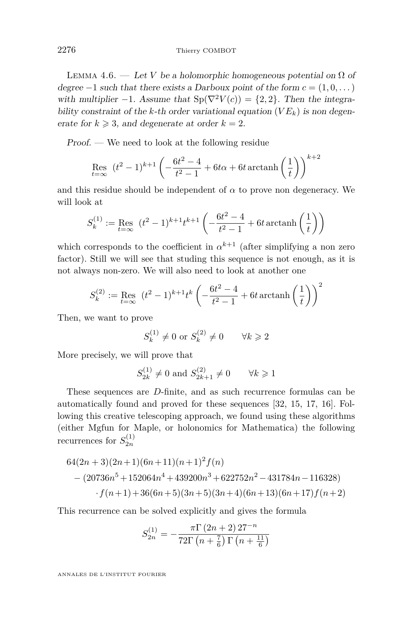<span id="page-24-0"></span>LEMMA 4.6. — Let *V* be a holomorphic homogeneous potential on  $\Omega$  of degree  $-1$  such that there exists a Darboux point of the form  $c = (1, 0, \dots)$ with multiplier  $-1$ . Assume that  $Sp(\nabla^2 V(c)) = \{2, 2\}$ . Then the integrability constraint of the *k*-th order variational equation  $(V E_k)$  is non degenerate for  $k \geq 3$ , and degenerate at order  $k = 2$ .

Proof. — We need to look at the following residue

$$
\mathop{\rm Res}\limits_{t=\infty}\;\;(t^2-1)^{k+1}\left(-\frac{6t^2-4}{t^2-1}+6t\alpha+6t\,\text{arctanh}\left(\frac{1}{t}\right)\right)^{k+2}
$$

and this residue should be independent of  $\alpha$  to prove non degeneracy. We will look at

$$
S_k^{(1)} := \text{Res}_{t=\infty} \ \left( t^2 - 1 \right)^{k+1} t^{k+1} \left( -\frac{6t^2 - 4}{t^2 - 1} + 6t \operatorname{arctanh} \left( \frac{1}{t} \right) \right)
$$

which corresponds to the coefficient in  $\alpha^{k+1}$  (after simplifying a non zero factor). Still we will see that studing this sequence is not enough, as it is not always non-zero. We will also need to look at another one

$$
S_k^{(2)} := \text{Res}_{t=\infty} \ \left( t^2 - 1 \right)^{k+1} t^k \left( -\frac{6t^2 - 4}{t^2 - 1} + 6t \operatorname{arctanh} \left( \frac{1}{t} \right) \right)^2
$$

Then, we want to prove

$$
S_k^{(1)} \neq 0 \text{ or } S_k^{(2)} \neq 0 \qquad \forall k \geq 2
$$

More precisely, we will prove that

$$
S_{2k}^{(1)} \neq 0
$$
 and  $S_{2k+1}^{(2)} \neq 0$   $\forall k \ge 1$ 

These sequences are *D*-finite, and as such recurrence formulas can be automatically found and proved for these sequences [\[32,](#page-46-0) [15,](#page-45-19) [17,](#page-45-16) [16\]](#page-45-20). Following this creative telescoping approach, we found using these algorithms (either Mgfun for Maple, or holonomics for Mathematica) the following recurrences for  $S_{2n}^{(1)}$ 

$$
64(2n+3)(2n+1)(6n+11)(n+1)2f(n)
$$
  
– (20736n<sup>5</sup> + 152064n<sup>4</sup> + 439200n<sup>3</sup> + 622752n<sup>2</sup> – 431784n – 116328)  
·f(n+1) + 36(6n+5)(3n+5)(3n+4)(6n+13)(6n+17)f(n+2)

This recurrence can be solved explicitly and gives the formula

$$
S_{2n}^{(1)} = -\frac{\pi \Gamma (2n+2) 27^{-n}}{72 \Gamma (n+\frac{7}{6}) \Gamma (n+\frac{11}{6})}
$$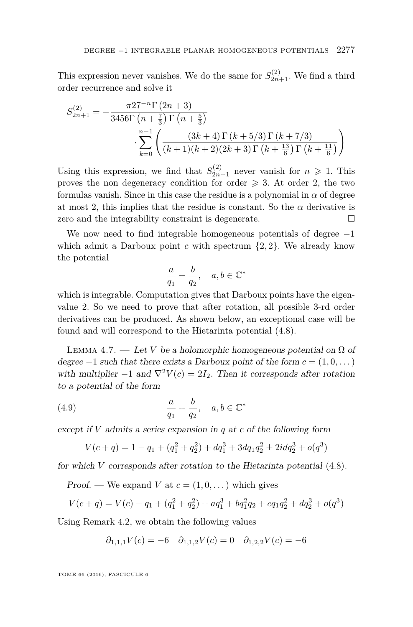This expression never vanishes. We do the same for  $S_{2n+1}^{(2)}$ . We find a third order recurrence and solve it

$$
S_{2n+1}^{(2)} = -\frac{\pi 27^{-n} \Gamma(2n+3)}{3456 \Gamma(n+\frac{7}{3}) \Gamma(n+\frac{5}{3})}
$$

$$
\cdot \sum_{k=0}^{n-1} \left( \frac{(3k+4) \Gamma(k+5/3) \Gamma(k+7/3)}{(k+1)(k+2)(2k+3) \Gamma(k+\frac{13}{6}) \Gamma(k+\frac{11}{6})} \right)
$$

Using this expression, we find that  $S_{2n+1}^{(2)}$  never vanish for  $n \geq 1$ . This proves the non degeneracy condition for order  $\geq 3$ . At order 2, the two formulas vanish. Since in this case the residue is a polynomial in  $\alpha$  of degree at most 2, this implies that the residue is constant. So the  $\alpha$  derivative is zero and the integrability constraint is degenerate.

We now need to find integrable homogeneous potentials of degree  $-1$ which admit a Darboux point  $c$  with spectrum  $\{2, 2\}$ . We already know the potential

$$
\frac{a}{q_1}+\frac{b}{q_2},\quad a,b\in\mathbb{C}^*
$$

which is integrable. Computation gives that Darboux points have the eigenvalue 2. So we need to prove that after rotation, all possible 3-rd order derivatives can be produced. As shown below, an exceptional case will be found and will correspond to the Hietarinta potential [\(4.8\)](#page-23-1).

<span id="page-25-0"></span>LEMMA 4.7. — Let *V* be a holomorphic homogeneous potential on  $\Omega$  of degree  $-1$  such that there exists a Darboux point of the form  $c = (1, 0, \dots)$ with multiplier  $-1$  and  $\nabla^2 V(c) = 2I_2$ . Then it corresponds after rotation to a potential of the form

(4.9) 
$$
\frac{a}{q_1} + \frac{b}{q_2}, \quad a, b \in \mathbb{C}^*
$$

except if *V* admits a series expansion in *q* at *c* of the following form

<span id="page-25-1"></span>
$$
V(c+q) = 1 - q_1 + (q_1^2 + q_2^2) + dq_1^3 + 3dq_1q_2^2 \pm 2idq_2^3 + o(q^3)
$$

for which *V* corresponds after rotation to the Hietarinta potential [\(4.8\)](#page-23-1).

Proof. — We expand *V* at  $c = (1, 0, \dots)$  which gives

$$
V(c+q) = V(c) - q_1 + (q_1^2 + q_2^2) + aq_1^3 + bq_1^2q_2 + cq_1q_2^2 + dq_2^3 + o(q^3)
$$

Using Remark [4.2,](#page-18-2) we obtain the following values

$$
\partial_{1,1,1}V(c) = -6 \quad \partial_{1,1,2}V(c) = 0 \quad \partial_{1,2,2}V(c) = -6
$$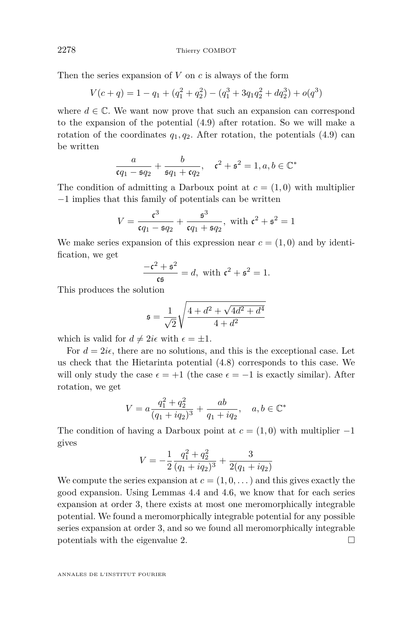2278 Thierry COMBOT

Then the series expansion of *V* on *c* is always of the form

$$
V(c+q) = 1 - q_1 + (q_1^2 + q_2^2) - (q_1^3 + 3q_1q_2^2 + dq_2^3) + o(q^3)
$$

where  $d \in \mathbb{C}$ . We want now prove that such an expansion can correspond to the expansion of the potential [\(4.9\)](#page-25-1) after rotation. So we will make a rotation of the coordinates  $q_1, q_2$ . After rotation, the potentials  $(4.9)$  can be written

$$
\frac{a}{cq_1 - sq_2} + \frac{b}{sq_1 + cq_2}, \quad c^2 + s^2 = 1, a, b \in \mathbb{C}^*
$$

The condition of admitting a Darboux point at  $c = (1, 0)$  with multiplier −1 implies that this family of potentials can be written

$$
V = \frac{c^3}{cq_1 - sq_2} + \frac{s^3}{cq_1 + sq_2}, \text{ with } c^2 + s^2 = 1
$$

We make series expansion of this expression near  $c = (1,0)$  and by identification, we get

$$
\frac{-c^2 + s^2}{cs} = d, \text{ with } c^2 + s^2 = 1.
$$

This produces the solution

$$
\mathfrak{s} = \frac{1}{\sqrt{2}} \sqrt{\frac{4 + d^2 + \sqrt{4d^2 + d^4}}{4 + d^2}}
$$

which is valid for  $d \neq 2i\epsilon$  with  $\epsilon = \pm 1$ .

For  $d = 2i\epsilon$ , there are no solutions, and this is the exceptional case. Let us check that the Hietarinta potential [\(4.8\)](#page-23-1) corresponds to this case. We will only study the case  $\epsilon = +1$  (the case  $\epsilon = -1$  is exactly similar). After rotation, we get

$$
V = a \frac{q_1^2 + q_2^2}{(q_1 + iq_2)^3} + \frac{ab}{q_1 + iq_2}, \quad a, b \in \mathbb{C}^*
$$

The condition of having a Darboux point at  $c = (1,0)$  with multiplier  $-1$ gives

$$
V = -\frac{1}{2} \frac{q_1^2 + q_2^2}{(q_1 + iq_2)^3} + \frac{3}{2(q_1 + iq_2)}
$$

We compute the series expansion at  $c = (1, 0, \ldots)$  and this gives exactly the good expansion. Using Lemmas [4.4](#page-21-0) and [4.6,](#page-24-0) we know that for each series expansion at order 3, there exists at most one meromorphically integrable potential. We found a meromorphically integrable potential for any possible series expansion at order 3, and so we found all meromorphically integrable potentials with the eigenvalue 2.  $\Box$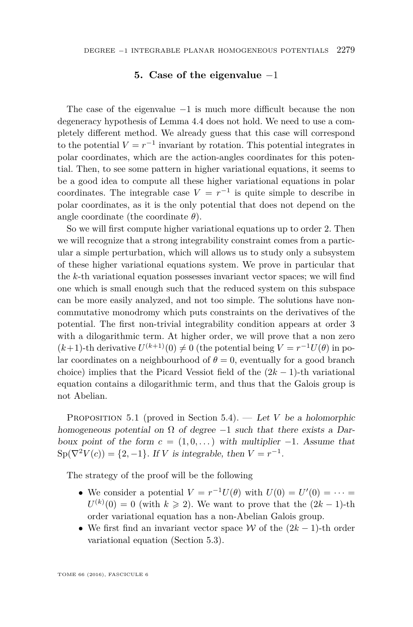#### **5. Case of the eigenvalue** −1

<span id="page-27-0"></span>The case of the eigenvalue  $-1$  is much more difficult because the non degeneracy hypothesis of Lemma [4.4](#page-21-0) does not hold. We need to use a completely different method. We already guess that this case will correspond to the potential  $V = r^{-1}$  invariant by rotation. This potential integrates in polar coordinates, which are the action-angles coordinates for this potential. Then, to see some pattern in higher variational equations, it seems to be a good idea to compute all these higher variational equations in polar coordinates. The integrable case  $V = r^{-1}$  is quite simple to describe in polar coordinates, as it is the only potential that does not depend on the angle coordinate (the coordinate *θ*).

So we will first compute higher variational equations up to order 2. Then we will recognize that a strong integrability constraint comes from a particular a simple perturbation, which will allows us to study only a subsystem of these higher variational equations system. We prove in particular that the *k*-th variational equation possesses invariant vector spaces; we will find one which is small enough such that the reduced system on this subspace can be more easily analyzed, and not too simple. The solutions have noncommutative monodromy which puts constraints on the derivatives of the potential. The first non-trivial integrability condition appears at order 3 with a dilogarithmic term. At higher order, we will prove that a non zero  $(k+1)$ -th derivative  $U^{(k+1)}(0) \neq 0$  (the potential being  $V = r^{-1}U(\theta)$  in polar coordinates on a neighbourhood of  $\theta = 0$ , eventually for a good branch choice) implies that the Picard Vessiot field of the  $(2k - 1)$ -th variational equation contains a dilogarithmic term, and thus that the Galois group is not Abelian.

<span id="page-27-1"></span>PROPOSITION 5.1 (proved in Section [5.4\)](#page-35-0). — Let *V* be a holomorphic homogeneous potential on  $\Omega$  of degree -1 such that there exists a Darboux point of the form  $c = (1, 0, \dots)$  with multiplier  $-1$ . Assume that  $\text{Sp}(\nabla^2 V(c)) = \{2, -1\}.$  If *V* is integrable, then  $V = r^{-1}$ .

The strategy of the proof will be the following

- We consider a potential  $V = r^{-1}U(\theta)$  with  $U(0) = U'(0) = \cdots$  $U^{(k)}(0) = 0$  (with  $k \geq 2$ ). We want to prove that the  $(2k-1)$ -th order variational equation has a non-Abelian Galois group.
- We first find an invariant vector space W of the  $(2k-1)$ -th order variational equation (Section [5.3\)](#page-32-0).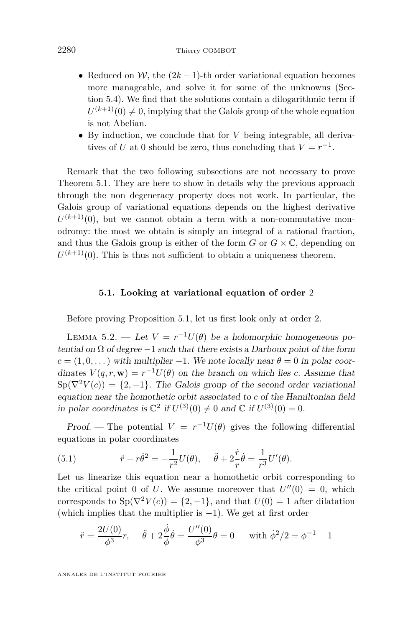- Reduced on W, the  $(2k-1)$ -th order variational equation becomes more manageable, and solve it for some of the unknowns (Section [5.4\)](#page-35-0). We find that the solutions contain a dilogarithmic term if  $U^{(k+1)}(0) \neq 0$ , implying that the Galois group of the whole equation is not Abelian.
- By induction, we conclude that for *V* being integrable, all derivatives of *U* at 0 should be zero, thus concluding that  $V = r^{-1}$ .

Remark that the two following subsections are not necessary to prove Theorem [5.1.](#page-27-1) They are here to show in details why the previous approach through the non degeneracy property does not work. In particular, the Galois group of variational equations depends on the highest derivative  $U^{(k+1)}(0)$ , but we cannot obtain a term with a non-commutative monodromy: the most we obtain is simply an integral of a rational fraction, and thus the Galois group is either of the form  $G$  or  $G \times \mathbb{C}$ , depending on  $U^{(k+1)}(0)$ . This is thus not sufficient to obtain a uniqueness theorem.

#### **5.1. Looking at variational equation of order** 2

Before proving Proposition [5.1,](#page-27-1) let us first look only at order 2.

LEMMA 5.2. — Let  $V = r^{-1}U(\theta)$  be a holomorphic homogeneous potential on  $\Omega$  of degree  $-1$  such that there exists a Darboux point of the form  $c = (1, 0, \ldots)$  with multiplier −1. We note locally near  $\theta = 0$  in polar coordinates  $V(q, r, \mathbf{w}) = r^{-1}U(\theta)$  on the branch on which lies *c*. Assume that  $Sp(\nabla^2 V(c)) = \{2, -1\}$ . The Galois group of the second order variational equation near the homothetic orbit associated to *c* of the Hamiltonian field in polar coordinates is  $\mathbb{C}^2$  if  $U^{(3)}(0) \neq 0$  and  $\mathbb{C}$  if  $U^{(3)}(0) = 0$ .

Proof. — The potential  $V = r^{-1}U(\theta)$  gives the following differential equations in polar coordinates

<span id="page-28-0"></span>(5.1) 
$$
\ddot{r} - r\dot{\theta}^2 = -\frac{1}{r^2}U(\theta), \quad \ddot{\theta} + 2\frac{\dot{r}}{r}\dot{\theta} = \frac{1}{r^3}U'(\theta).
$$

Let us linearize this equation near a homothetic orbit corresponding to the critical point 0 of *U*. We assume moreover that  $U''(0) = 0$ , which corresponds to  $Sp(\nabla^2 V(c)) = \{2, -1\}$ , and that  $U(0) = 1$  after dilatation (which implies that the multiplier is  $-1$ ). We get at first order

$$
\ddot{r} = \frac{2U(0)}{\phi^3}r, \quad \ddot{\theta} + 2\frac{\dot{\phi}}{\phi}\dot{\theta} = \frac{U''(0)}{\phi^3}\theta = 0 \quad \text{with } \dot{\phi}^2/2 = \phi^{-1} + 1
$$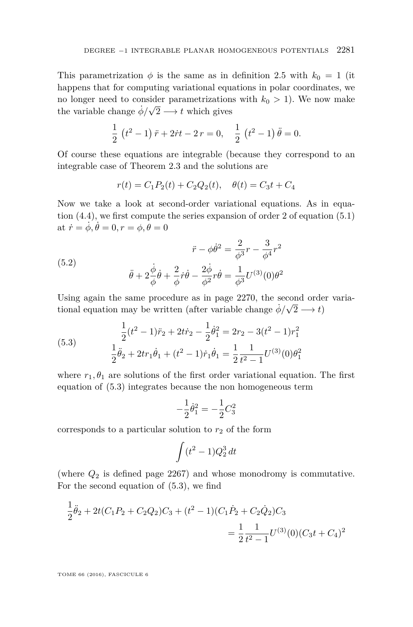This parametrization  $\phi$  is the same as in definition [2.5](#page-7-2) with  $k_0 = 1$  (it happens that for computing variational equations in polar coordinates, we no longer need to consider parametrizations with  $k_0 > 1$ ). We now make the variable change  $\dot{\phi}/\sqrt{ }$  $2 \longrightarrow t$  which gives

$$
\frac{1}{2} (t^2 - 1) \ddot{r} + 2 \dot{r} t - 2 r = 0, \quad \frac{1}{2} (t^2 - 1) \ddot{\theta} = 0.
$$

Of course these equations are integrable (because they correspond to an integrable case of Theorem [2.3](#page-7-0) and the solutions are

$$
r(t) = C_1 P_2(t) + C_2 Q_2(t), \quad \theta(t) = C_3 t + C_4
$$

Now we take a look at second-order variational equations. As in equation [\(4.4\)](#page-18-3), we first compute the series expansion of order 2 of equation [\(5.1\)](#page-28-0) at  $\dot{r} = \dot{\phi}, \dot{\theta} = 0, r = \phi, \theta = 0$ 

(5.2) 
$$
\ddot{r} - \phi \dot{\theta}^2 = \frac{2}{\phi^3} r - \frac{3}{\phi^4} r^2
$$

$$
\ddot{\theta} + 2\frac{\dot{\phi}}{\phi}\dot{\theta} + \frac{2}{\phi}\dot{r}\dot{\theta} - \frac{2\dot{\phi}}{\phi^2}\dot{r}\dot{\theta} = \frac{1}{\phi^3}U^{(3)}(0)\theta^2
$$

Using again the same procedure as in page [2270,](#page-18-3) the second order variational equation may be written (after variable change  $\dot{\phi}/\sqrt{2} \longrightarrow t$ )

<span id="page-29-0"></span>(5.3) 
$$
\frac{1}{2}(t^2 - 1)\ddot{r}_2 + 2t\dot{r}_2 - \frac{1}{2}\dot{\theta}_1^2 = 2r_2 - 3(t^2 - 1)r_1^2
$$

$$
\frac{1}{2}\ddot{\theta}_2 + 2tr_1\dot{\theta}_1 + (t^2 - 1)\dot{r}_1\dot{\theta}_1 = \frac{1}{2}\frac{1}{t^2 - 1}U^{(3)}(0)\theta_1^2
$$

where  $r_1, \theta_1$  are solutions of the first order variational equation. The first equation of [\(5.3\)](#page-29-0) integrates because the non homogeneous term

$$
-\frac{1}{2}\dot{\theta}_1^2 = -\frac{1}{2}C_3^2
$$

corresponds to a particular solution to  $r_2$  of the form

$$
\int (t^2 - 1)Q_2^3 dt
$$

(where *Q*<sup>2</sup> is defined page [2267\)](#page-15-0) and whose monodromy is commutative. For the second equation of [\(5.3\)](#page-29-0), we find

$$
\frac{1}{2}\ddot{\theta}_2 + 2t(C_1P_2 + C_2Q_2)C_3 + (t^2 - 1)(C_1\dot{P}_2 + C_2\dot{Q}_2)C_3
$$
  
= 
$$
\frac{1}{2}\frac{1}{t^2 - 1}U^{(3)}(0)(C_3t + C_4)^2
$$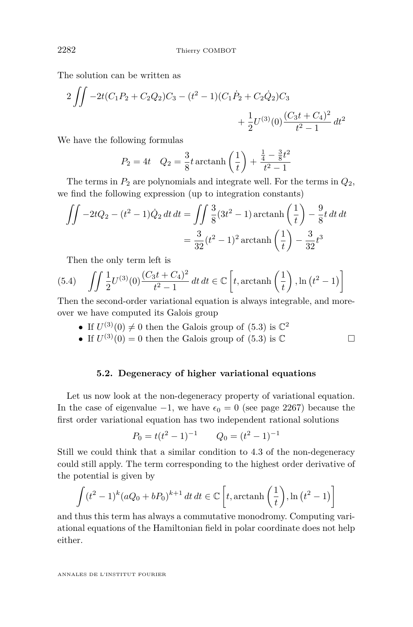The solution can be written as

$$
2\iint -2t(C_1P_2 + C_2Q_2)C_3 - (t^2 - 1)(C_1\dot{P}_2 + C_2\dot{Q}_2)C_3 + \frac{1}{2}U^{(3)}(0)\frac{(C_3t + C_4)^2}{t^2 - 1}dt^2
$$

We have the following formulas

$$
P_2 = 4t \quad Q_2 = \frac{3}{8}t \operatorname{arctanh}\left(\frac{1}{t}\right) + \frac{\frac{1}{4} - \frac{3}{8}t^2}{t^2 - 1}
$$

The terms in  $P_2$  are polynomials and integrate well. For the terms in  $Q_2$ , we find the following expression (up to integration constants)

$$
\iint -2tQ_2 - (t^2 - 1)\dot{Q}_2 dt dt = \iint \frac{3}{8} (3t^2 - 1) \operatorname{arctanh}\left(\frac{1}{t}\right) - \frac{9}{8}t dt dt
$$

$$
= \frac{3}{32} (t^2 - 1)^2 \operatorname{arctanh}\left(\frac{1}{t}\right) - \frac{3}{32} t^3
$$

Then the only term left is

(5.4) 
$$
\iint \frac{1}{2} U^{(3)}(0) \frac{(C_3 t + C_4)^2}{t^2 - 1} dt dt \in \mathbb{C} \left[ t, \operatorname{arctanh} \left( \frac{1}{t} \right), \ln (t^2 - 1) \right]
$$

Then the second-order variational equation is always integrable, and moreover we have computed its Galois group

- If  $U^{(3)}(0) \neq 0$  then the Galois group of [\(5.3\)](#page-29-0) is  $\mathbb{C}^2$
- If  $U^{(3)}(0) = 0$  then the Galois group of  $(5.3)$  is  $\mathbb{C}$

#### **5.2. Degeneracy of higher variational equations**

Let us now look at the non-degeneracy property of variational equation. In the case of eigenvalue  $-1$ , we have  $\epsilon_0 = 0$  (see page [2267\)](#page-15-0) because the first order variational equation has two independent rational solutions

$$
P_0 = t(t^2 - 1)^{-1} \qquad Q_0 = (t^2 - 1)^{-1}
$$

Still we could think that a similar condition to [4.3](#page-20-0) of the non-degeneracy could still apply. The term corresponding to the highest order derivative of the potential is given by

$$
\int (t^2 - 1)^k (aQ_0 + bP_0)^{k+1} dt dt \in \mathbb{C} \left[ t, \operatorname{arctanh} \left( \frac{1}{t} \right), \ln \left( t^2 - 1 \right) \right]
$$

and thus this term has always a commutative monodromy. Computing variational equations of the Hamiltonian field in polar coordinate does not help either.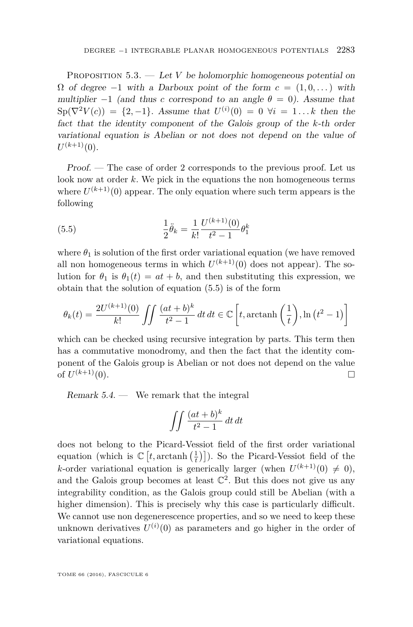PROPOSITION  $5.3.$  — Let *V* be holomorphic homogeneous potential on  $\Omega$  of degree  $-1$  with a Darboux point of the form  $c = (1, 0, \dots)$  with multiplier  $-1$  (and thus *c* correspond to an angle  $\theta = 0$ ). Assume that  $\text{Sp}(\nabla^2 V(c)) = \{2, -1\}.$  Assume that  $U^{(i)}(0) = 0 \ \forall i = 1...k$  then the fact that the identity component of the Galois group of the *k*-th order variational equation is Abelian or not does not depend on the value of  $U^{(k+1)}(0)$ .

Proof. — The case of order 2 corresponds to the previous proof. Let us look now at order *k*. We pick in the equations the non homogeneous terms where  $U^{(k+1)}(0)$  appear. The only equation where such term appears is the following

<span id="page-31-0"></span>(5.5) 
$$
\frac{1}{2}\ddot{\theta}_k = \frac{1}{k!} \frac{U^{(k+1)}(0)}{t^2 - 1} \theta_1^k
$$

where  $\theta_1$  is solution of the first order variational equation (we have removed all non homogeneous terms in which  $U^{(k+1)}(0)$  does not appear). The solution for  $\theta_1$  is  $\theta_1(t) = at + b$ , and then substituting this expression, we obtain that the solution of equation [\(5.5\)](#page-31-0) is of the form

$$
\theta_k(t) = \frac{2U^{(k+1)}(0)}{k!} \iint \frac{(at+b)^k}{t^2-1} dt dt \in \mathbb{C} \left[ t, \operatorname{arctanh}\left(\frac{1}{t}\right), \ln\left(t^2-1\right) \right]
$$

which can be checked using recursive integration by parts. This term then has a commutative monodromy, and then the fact that the identity component of the Galois group is Abelian or not does not depend on the value of  $U^{(k+1)}(0)$ .  $(k+1)(0).$ 

Remark  $5.4.$  — We remark that the integral

$$
\int \int \frac{(at+b)^k}{t^2-1} dt dt
$$

does not belong to the Picard-Vessiot field of the first order variational equation (which is  $\mathbb{C}\left[t, \arctanh\left(\frac{1}{t}\right)\right]$ ). So the Picard-Vessiot field of the *k*-order variational equation is generically larger (when  $U^{(k+1)}(0) \neq 0$ ), and the Galois group becomes at least  $\mathbb{C}^2$ . But this does not give us any integrability condition, as the Galois group could still be Abelian (with a higher dimension). This is precisely why this case is particularly difficult. We cannot use non degenerescence properties, and so we need to keep these unknown derivatives  $U^{(i)}(0)$  as parameters and go higher in the order of variational equations.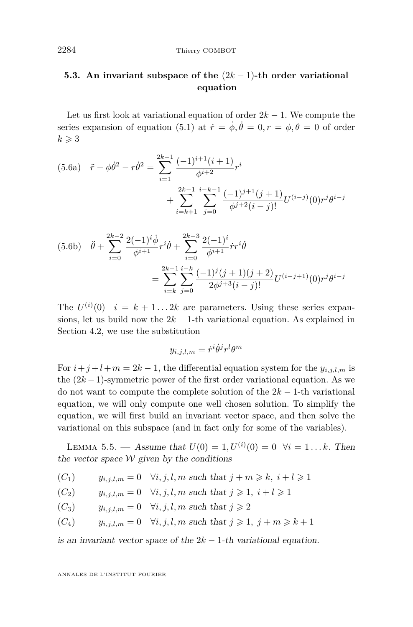### <span id="page-32-0"></span>**5.3. An invariant subspace of the** (2*k* − 1)**-th order variational equation**

<span id="page-32-6"></span>Let us first look at variational equation of order  $2k - 1$ . We compute the series expansion of equation [\(5.1\)](#page-28-0) at  $\dot{r} = \dot{\phi}, \dot{\theta} = 0, r = \phi, \theta = 0$  of order  $k \geqslant 3$ 

<span id="page-32-7"></span>
$$
(5.6a) \quad \ddot{r} - \phi \dot{\theta}^2 - r \dot{\theta}^2 = \sum_{i=1}^{2k-1} \frac{(-1)^{i+1}(i+1)}{\phi^{i+2}} r^i
$$

$$
+ \sum_{i=k+1}^{2k-1} \sum_{j=0}^{i-k-1} \frac{(-1)^{j+1}(j+1)}{\phi^{j+2}(i-j)!} U^{(i-j)}(0) r^j \theta^{i-j}
$$

<span id="page-32-1"></span>
$$
(5.6b) \quad \ddot{\theta} + \sum_{i=0}^{2k-2} \frac{2(-1)^i \dot{\phi}}{\phi^{i+1}} r^i \dot{\theta} + \sum_{i=0}^{2k-3} \frac{2(-1)^i}{\phi^{i+1}} \dot{r} r^i \dot{\theta}
$$

$$
= \sum_{i=k}^{2k-1} \sum_{j=0}^{i-k} \frac{(-1)^j (j+1)(j+2)}{2\phi^{j+3} (i-j)!} U^{(i-j+1)}(0) r^j \theta^{i-j}
$$

The  $U^{(i)}(0)$   $i = k + 1...2k$  are parameters. Using these series expansions, let us build now the  $2k - 1$ -th variational equation. As explained in Section [4.2,](#page-17-0) we use the substitution

$$
y_{i,j,l,m}=\dot{r}^i\dot{\theta}^jr^l\theta^m
$$

For  $i + j + l + m = 2k - 1$ , the differential equation system for the  $y_{i,j,l,m}$  is the  $(2k-1)$ -symmetric power of the first order variational equation. As we do not want to compute the complete solution of the 2*k* − 1-th variational equation, we will only compute one well chosen solution. To simplify the equation, we will first build an invariant vector space, and then solve the variational on this subspace (and in fact only for some of the variables).

<span id="page-32-8"></span>LEMMA 5.5. — Assume that  $U(0) = 1, U^{(i)}(0) = 0 \quad \forall i = 1...k$ . Then the vector space  $W$  given by the conditions

<span id="page-32-2"></span>(C<sub>1</sub>) 
$$
y_{i,j,l,m} = 0
$$
  $\forall i, j, l, m$  such that  $j + m \geq k, i + l \geq 1$ 

<span id="page-32-3"></span>
$$
(C_2) \t y_{i,j,l,m} = 0 \quad \forall i, j, l, m \text{ such that } j \geqslant 1, i+l \geqslant 1
$$

<span id="page-32-4"></span>
$$
(C_3) \t y_{i,j,l,m} = 0 \quad \forall i, j, l, m \text{ such that } j \geq 2
$$

<span id="page-32-5"></span>(C<sub>4</sub>) 
$$
y_{i,j,l,m} = 0
$$
  $\forall i, j, l, m$  such that  $j \ge 1, j+m \ge k+1$ 

is an invariant vector space of the  $2k - 1$ -th variational equation.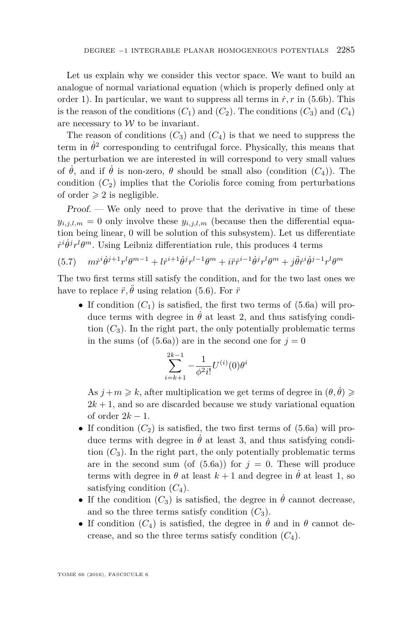Let us explain why we consider this vector space. We want to build an analogue of normal variational equation (which is properly defined only at order 1). In particular, we want to suppress all terms in  $\dot{r}$ , r in [\(5.6b\)](#page-32-1). This is the reason of the conditions  $(C_1)$  $(C_1)$  $(C_1)$  and  $(C_2)$ . The conditions  $(C_3)$  and  $(C_4)$ are necessary to  $W$  to be invariant.

The reason of conditions  $(C_3)$  $(C_3)$  $(C_3)$  and  $(C_4)$  is that we need to suppress the term in  $\dot{\theta}^2$  corresponding to centrifugal force. Physically, this means that the perturbation we are interested in will correspond to very small values of  $\dot{\theta}$ , and if  $\dot{\theta}$  is non-zero,  $\theta$  should be small also (condition  $(C_4)$  $(C_4)$  $(C_4)$ ). The condition  $(C_2)$  $(C_2)$  $(C_2)$  implies that the Coriolis force coming from perturbations of order  $\geqslant 2$  is negligible.

Proof. — We only need to prove that the derivative in time of these  $y_{i,j,l,m} = 0$  only involve these  $y_{i,j,l,m}$  (because then the differential equation being linear, 0 will be solution of this subsystem). Let us differentiate  $\dot{r}^i \dot{\theta}^j r^l \theta^m$ . Using Leibniz differentiation rule, this produces 4 terms

$$
(5.7) \quad m\dot{r}^i\dot{\theta}^{j+1}r^l\theta^{m-1} + l\dot{r}^{i+1}\dot{\theta}^jr^{l-1}\theta^m + i\ddot{r}\dot{r}^{i-1}\dot{\theta}^jr^l\theta^m + j\ddot{\theta}\dot{r}^i\dot{\theta}^{j-1}r^l\theta^m
$$

The two first terms still satisfy the condition, and for the two last ones we have to replace  $\ddot{r}, \ddot{\theta}$  using relation [\(5.6\)](#page-32-6). For  $\ddot{r}$ 

• If condition  $(C_1)$  $(C_1)$  $(C_1)$  is satisfied, the first two terms of  $(5.6a)$  will produce terms with degree in  $\dot{\theta}$  at least 2, and thus satisfying condition  $(C_3)$  $(C_3)$  $(C_3)$ . In the right part, the only potentially problematic terms in the sums (of  $(5.6a)$ ) are in the second one for  $j = 0$ 

$$
\sum_{i=k+1}^{2k-1} -\frac{1}{\phi^2 i!} U^{(i)}(0) \theta^i
$$

As  $j+m \geq k$ , after multiplication we get terms of degree in  $(\theta, \dot{\theta}) \geq$  $2k + 1$ , and so are discarded because we study variational equation of order  $2k - 1$ .

- If condition  $(C_2)$  $(C_2)$  $(C_2)$  is satisfied, the two first terms of  $(5.6a)$  will produce terms with degree in  $\dot{\theta}$  at least 3, and thus satisfying condition  $(C_3)$  $(C_3)$  $(C_3)$ . In the right part, the only potentially problematic terms are in the second sum (of  $(5.6a)$ ) for  $j = 0$ . These will produce terms with degree in  $\theta$  at least  $k+1$  and degree in  $\theta$  at least 1, so satisfying condition  $(C_4)$  $(C_4)$  $(C_4)$ .
- If the condition  $(C_3)$  $(C_3)$  $(C_3)$  is satisfied, the degree in  $\theta$  cannot decrease, and so the three terms satisfy condition  $(C_3)$  $(C_3)$  $(C_3)$ .
- If condition  $(C_4)$  $(C_4)$  $(C_4)$  is satisfied, the degree in  $\dot{\theta}$  and in  $\theta$  cannot decrease, and so the three terms satisfy condition  $(C_4)$  $(C_4)$  $(C_4)$ .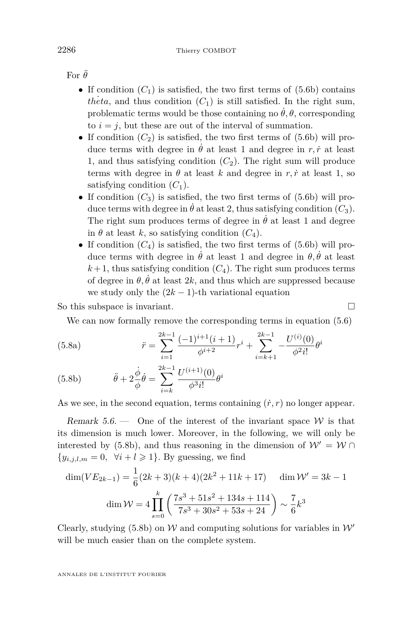For  $\ddot{\theta}$ 

- If condition  $(C_1)$  $(C_1)$  $(C_1)$  is satisfied, the two first terms of  $(5.6b)$  contains *theta*, and thus condition  $(C_1)$  $(C_1)$  $(C_1)$  is still satisfied. In the right sum, problematic terms would be those containing no  $\dot{\theta}$ ,  $\theta$ , corresponding to  $i = j$ , but these are out of the interval of summation.
- If condition  $(C_2)$  $(C_2)$  $(C_2)$  is satisfied, the two first terms of  $(5.6b)$  will produce terms with degree in  $\dot{\theta}$  at least 1 and degree in *r, i* at least 1, and thus satisfying condition  $(C_2)$  $(C_2)$  $(C_2)$ . The right sum will produce terms with degree in  $\theta$  at least *k* and degree in *r, i* at least 1, so satisfying condition  $(C_1)$  $(C_1)$  $(C_1)$ .
- If condition  $(C_3)$  $(C_3)$  $(C_3)$  is satisfied, the two first terms of  $(5.6b)$  will produce terms with degree in  $\dot{\theta}$  at least 2, thus satisfying condition  $(C_3)$  $(C_3)$  $(C_3)$ . The right sum produces terms of degree in  $\dot{\theta}$  at least 1 and degree in  $\theta$  at least *k*, so satisfying condition  $(C_4)$  $(C_4)$  $(C_4)$ .
- If condition  $(C_4)$  $(C_4)$  $(C_4)$  is satisfied, the two first terms of  $(5.6b)$  will produce terms with degree in  $\dot{\theta}$  at least 1 and degree in  $\theta$ ,  $\dot{\theta}$  at least  $k+1$ , thus satisfying condition  $(C_4)$  $(C_4)$  $(C_4)$ . The right sum produces terms of degree in  $\theta$ ,  $\dot{\theta}$  at least 2*k*, and thus which are suppressed because we study only the  $(2k-1)$ -th variational equation

So this subspace is invariant.

We can now formally remove the corresponding terms in equation [\(5.6\)](#page-32-6)

(5.8a) 
$$
\ddot{r} = \sum_{i=1}^{2k-1} \frac{(-1)^{i+1}(i+1)}{\phi^{i+2}} r^i + \sum_{i=k+1}^{2k-1} -\frac{U^{(i)}(0)}{\phi^2 i!} \theta^i
$$

<span id="page-34-0"></span>(5.8b) 
$$
\ddot{\theta} + 2 \frac{\dot{\phi}}{\phi} \dot{\theta} = \sum_{i=k}^{2k-1} \frac{U^{(i+1)}(0)}{\phi^3 i!} \theta^i
$$

As we see, in the second equation, terms containing  $(\dot{r}, r)$  no longer appear.

Remark  $5.6.$  — One of the interest of the invariant space W is that its dimension is much lower. Moreover, in the following, we will only be interested by [\(5.8b\)](#page-34-0), and thus reasoning in the dimension of  $W' = W \cap$  ${y_{i,j,l,m} = 0, \forall i+l \geqslant 1}.$  By guessing, we find

$$
\dim(VE_{2k-1}) = \frac{1}{6}(2k+3)(k+4)(2k^2+11k+17) \quad \dim \mathcal{W}' = 3k-1
$$

$$
\dim \mathcal{W} = 4\prod_{s=0}^{k} \left(\frac{7s^3+51s^2+134s+114}{7s^3+30s^2+53s+24}\right) \sim \frac{7}{6}k^3
$$

Clearly, studying [\(5.8b\)](#page-34-0) on W and computing solutions for variables in  $W'$ will be much easier than on the complete system.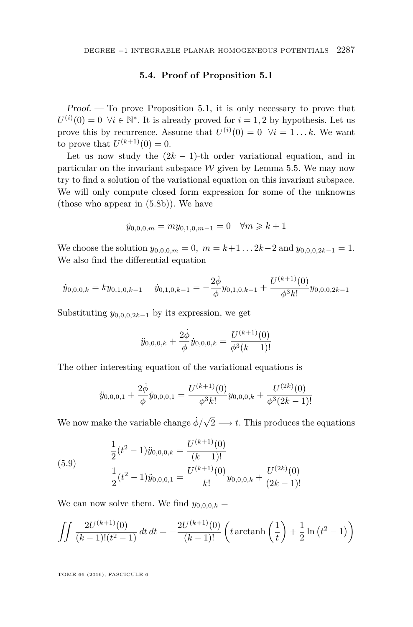#### **5.4. Proof of Proposition [5.1](#page-27-1)**

<span id="page-35-0"></span> $Proof.$  — To prove Proposition [5.1,](#page-27-1) it is only necessary to prove that  $U^{(i)}(0) = 0$   $\forall i \in \mathbb{N}^*$ . It is already proved for  $i = 1, 2$  by hypothesis. Let us prove this by recurrence. Assume that  $U^{(i)}(0) = 0 \quad \forall i = 1...k$ . We want to prove that  $U^{(k+1)}(0) = 0$ .

Let us now study the  $(2k - 1)$ -th order variational equation, and in particular on the invariant subspace  $W$  given by Lemma [5.5.](#page-32-8) We may now try to find a solution of the variational equation on this invariant subspace. We will only compute closed form expression for some of the unknowns (those who appear in [\(5.8b\)](#page-34-0)). We have

$$
\dot{y}_{0,0,0,m} = my_{0,1,0,m-1} = 0 \quad \forall m \geq k+1
$$

We choose the solution  $y_{0,0,0,m} = 0$ ,  $m = k+1...2k-2$  and  $y_{0,0,0,2k-1} = 1$ . We also find the differential equation

$$
\dot{y}_{0,0,0,k} = ky_{0,1,0,k-1} \quad \dot{y}_{0,1,0,k-1} = -\frac{2\dot{\phi}}{\phi}y_{0,1,0,k-1} + \frac{U^{(k+1)}(0)}{\phi^3k!}y_{0,0,0,2k-1}
$$

Substituting  $y_{0,0,0,2k-1}$  by its expression, we get

$$
\ddot{y}_{0,0,0,k} + \frac{2\dot{\phi}}{\phi}\dot{y}_{0,0,0,k} = \frac{U^{(k+1)}(0)}{\phi^3(k-1)!}
$$

The other interesting equation of the variational equations is

$$
\ddot{y}_{0,0,0,1} + \frac{2\dot{\phi}}{\phi}\dot{y}_{0,0,0,1} = \frac{U^{(k+1)}(0)}{\phi^3 k!}y_{0,0,0,k} + \frac{U^{(2k)}(0)}{\phi^3(2k-1)!}
$$

We now make the variable change  $\dot{\phi}/\sqrt{ }$  $2 \longrightarrow t$ . This produces the equations

(5.9) 
$$
\frac{1}{2}(t^2 - 1)\ddot{y}_{0,0,0,k} = \frac{U^{(k+1)}(0)}{(k-1)!}
$$

$$
\frac{1}{2}(t^2 - 1)\ddot{y}_{0,0,0,1} = \frac{U^{(k+1)}(0)}{k!}y_{0,0,0,k} + \frac{U^{(2k)}(0)}{(2k-1)!}
$$

We can now solve them. We find  $y_{0,0,0,k} =$ 

$$
\iint \frac{2U^{(k+1)}(0)}{(k-1)!(t^2-1)} dt dt = -\frac{2U^{(k+1)}(0)}{(k-1)!} \left( t \operatorname{arctanh}\left(\frac{1}{t}\right) + \frac{1}{2} \ln(t^2 - 1) \right)
$$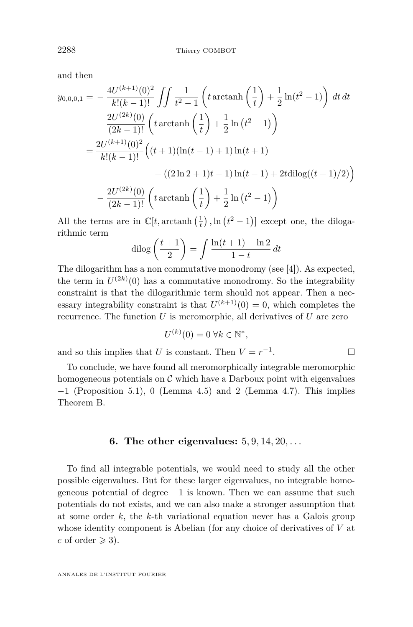and then

$$
y_{0,0,0,1} = -\frac{4U^{(k+1)}(0)^2}{k!(k-1)!} \iint \frac{1}{t^2 - 1} \left( t \operatorname{arctanh}\left(\frac{1}{t}\right) + \frac{1}{2} \ln(t^2 - 1) \right) dt dt
$$
  
\n
$$
- \frac{2U^{(2k)}(0)}{(2k-1)!} \left( t \operatorname{arctanh}\left(\frac{1}{t}\right) + \frac{1}{2} \ln(t^2 - 1) \right)
$$
  
\n
$$
= \frac{2U^{(k+1)}(0)^2}{k!(k-1)!} \left( (t+1)(\ln(t-1) + 1) \ln(t+1) \right)
$$
  
\n
$$
- \left( (2\ln 2 + 1)t - 1 \right) \ln(t-1) + 2t \operatorname{dilog}((t+1)/2) \right)
$$
  
\n
$$
- \frac{2U^{(2k)}(0)}{(2k-1)!} \left( t \operatorname{arctanh}\left(\frac{1}{t}\right) + \frac{1}{2} \ln(t^2 - 1) \right)
$$

All the terms are in  $\mathbb{C}[t, \arctanh(\frac{1}{t}), \ln(t^2-1)]$  except one, the dilogarithmic term

$$
\operatorname{dilog}\left(\frac{t+1}{2}\right) = \int \frac{\ln(t+1) - \ln 2}{1-t} dt
$$

The dilogarithm has a non commutative monodromy (see [\[4\]](#page-44-7)). As expected, the term in  $U^{(2k)}(0)$  has a commutative monodromy. So the integrability constraint is that the dilogarithmic term should not appear. Then a necessary integrability constraint is that  $U^{(k+1)}(0) = 0$ , which completes the recurrence. The function *U* is meromorphic, all derivatives of *U* are zero

$$
U^{(k)}(0) = 0 \,\forall k \in \mathbb{N}^*,
$$

and so this implies that *U* is constant. Then  $V = r^{-1}$ . — Профессор — Профессор — Профессор — Профессор — Профессор — Профессор — Профессор — Профессор — Профессор <br>В профессор — Профессор — Профессор — Профессор — Профессор — Профессор — Профессор — Профессор — Профессор —<br>

To conclude, we have found all meromorphically integrable meromorphic homogeneous potentials on  $C$  which have a Darboux point with eigenvalues  $-1$  (Proposition [5.1\)](#page-27-1), 0 (Lemma [4.5\)](#page-22-1) and 2 (Lemma [4.7\)](#page-25-0). This implies Theorem [B.](#page-3-1)

#### **6. The other eigenvalues:** 5*,* 9*,* 14*,* 20*, . . .*

To find all integrable potentials, we would need to study all the other possible eigenvalues. But for these larger eigenvalues, no integrable homogeneous potential of degree −1 is known. Then we can assume that such potentials do not exists, and we can also make a stronger assumption that at some order *k*, the *k*-th variational equation never has a Galois group whose identity component is Abelian (for any choice of derivatives of *V* at *c* of order  $\geqslant$  3).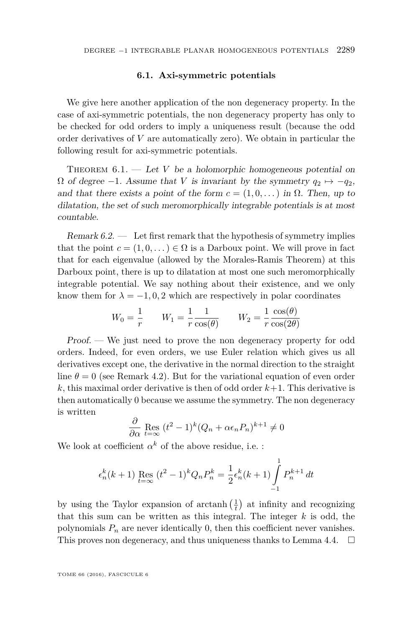#### **6.1. Axi-symmetric potentials**

We give here another application of the non degeneracy property. In the case of axi-symmetric potentials, the non degeneracy property has only to be checked for odd orders to imply a uniqueness result (because the odd order derivatives of *V* are automatically zero). We obtain in particular the following result for axi-symmetric potentials.

<span id="page-37-0"></span>THEOREM  $6.1.$  — Let *V* be a holomorphic homogeneous potential on  $\Omega$  of degree −1. Assume that *V* is invariant by the symmetry  $q_2 \mapsto -q_2$ , and that there exists a point of the form  $c = (1, 0, ...)$  in  $\Omega$ . Then, up to dilatation, the set of such meromorphically integrable potentials is at most countable.

Remark  $6.2.$  — Let first remark that the hypothesis of symmetry implies that the point  $c = (1, 0, \dots) \in \Omega$  is a Darboux point. We will prove in fact that for each eigenvalue (allowed by the Morales-Ramis Theorem) at this Darboux point, there is up to dilatation at most one such meromorphically integrable potential. We say nothing about their existence, and we only know them for  $\lambda = -1, 0, 2$  which are respectively in polar coordinates

$$
W_0 = \frac{1}{r} \qquad W_1 = \frac{1}{r} \frac{1}{\cos(\theta)} \qquad W_2 = \frac{1}{r} \frac{\cos(\theta)}{\cos(2\theta)}
$$

Proof. — We just need to prove the non degeneracy property for odd orders. Indeed, for even orders, we use Euler relation which gives us all derivatives except one, the derivative in the normal direction to the straight line  $\theta = 0$  (see Remark [4.2\)](#page-18-2). But for the variational equation of even order  $k$ , this maximal order derivative is then of odd order  $k+1$ . This derivative is then automatically 0 because we assume the symmetry. The non degeneracy is written

$$
\frac{\partial}{\partial \alpha} \operatorname{Res}_{t=\infty} (t^2 - 1)^k (Q_n + \alpha \epsilon_n P_n)^{k+1} \neq 0
$$

We look at coefficient  $\alpha^k$  of the above residue, i.e. :

$$
\epsilon_n^k(k+1) \operatorname{Res}_{t=\infty} (t^2 - 1)^k Q_n P_n^k = \frac{1}{2} \epsilon_n^k(k+1) \int_{-1}^1 P_n^{k+1} dt
$$

by using the Taylor expansion of  $\arctanh\left(\frac{1}{t}\right)$  at infinity and recognizing that this sum can be written as this integral. The integer *k* is odd, the polynomials  $P_n$  are never identically 0, then this coefficient never vanishes. This proves non degeneracy, and thus uniqueness thanks to Lemma [4.4.](#page-21-0)  $\Box$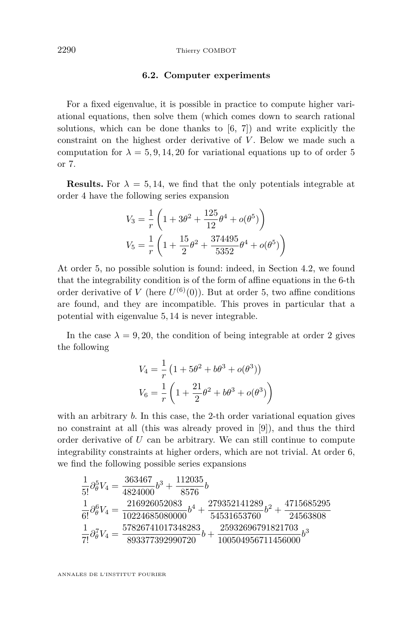#### **6.2. Computer experiments**

For a fixed eigenvalue, it is possible in practice to compute higher variational equations, then solve them (which comes down to search rational solutions, which can be done thanks to [\[6,](#page-44-8) [7\]](#page-44-9)) and write explicitly the constraint on the highest order derivative of *V*. Below we made such a computation for  $\lambda = 5, 9, 14, 20$  for variational equations up to of order 5 or 7.

**Results.** For  $\lambda = 5, 14$ , we find that the only potentials integrable at order 4 have the following series expansion

$$
V_3 = \frac{1}{r} \left( 1 + 3\theta^2 + \frac{125}{12} \theta^4 + o(\theta^5) \right)
$$
  

$$
V_5 = \frac{1}{r} \left( 1 + \frac{15}{2} \theta^2 + \frac{374495}{5352} \theta^4 + o(\theta^5) \right)
$$

At order 5, no possible solution is found: indeed, in Section [4.2,](#page-17-0) we found that the integrability condition is of the form of affine equations in the 6-th order derivative of *V* (here  $U^{(6)}(0)$ ). But at order 5, two affine conditions are found, and they are incompatible. This proves in particular that a potential with eigenvalue 5*,* 14 is never integrable.

In the case  $\lambda = 9, 20$ , the condition of being integrable at order 2 gives the following

$$
V_4 = \frac{1}{r} \left( 1 + 5\theta^2 + b\theta^3 + o(\theta^3) \right)
$$
  

$$
V_6 = \frac{1}{r} \left( 1 + \frac{21}{2}\theta^2 + b\theta^3 + o(\theta^3) \right)
$$

with an arbitrary *b*. In this case, the 2-th order variational equation gives no constraint at all (this was already proved in [\[9\]](#page-44-4)), and thus the third order derivative of *U* can be arbitrary. We can still continue to compute integrability constraints at higher orders, which are not trivial. At order 6, we find the following possible series expansions

$$
\begin{aligned} &\frac{1}{5!}\partial_{\theta}^{5}V_{4}=\frac{363467}{4824000}b^{3}+\frac{112035}{8576}b\\ &\frac{1}{6!}\partial_{\theta}^{6}V_{4}=\frac{216926052083}{10224685080000}b^{4}+\frac{279352141289}{54531653760}b^{2}+\frac{4715685295}{24563808}\\ &\frac{1}{7!}\partial_{\theta}^{7}V_{4}=\frac{57826741017348283}{893377392990720}b+\frac{25932696791821703}{100504956711456000}b^{3} \end{aligned}
$$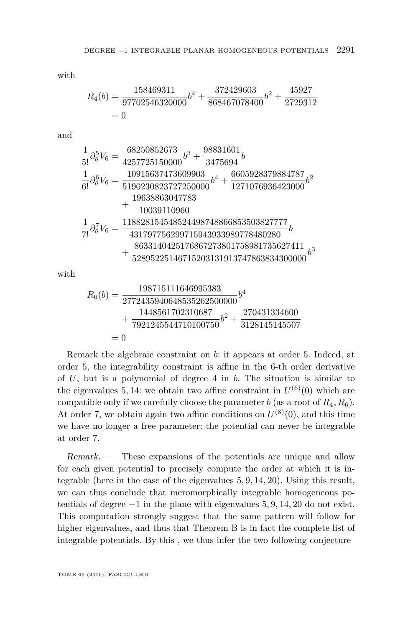with

$$
R_4(b) = \frac{158469311}{97702546320000}b^4 + \frac{372429603}{868467078400}b^2 + \frac{45927}{2729312}
$$
  
= 0

and

$$
\begin{aligned} \frac{1}{5!}\partial_{\theta}^{5}V_{6} & =\frac{68250852673}{4257725150000}b^{3}+\frac{98831601}{3475694}b\\ \frac{1}{6!}\partial_{\theta}^{6}V_{6} & =\frac{10915637473609903}{5190230823727250000}b^{4}+\frac{6605928379884787}{1271076936423000}b^{2}\\ & +\frac{19638863047783}{10039110960}\\ \frac{1}{7!}\partial_{\theta}^{7}V_{6} & =\frac{118828154548524498748866853503827777}{431797756299715943933989778480280}b\\ & +\frac{8633140425176867273801758981735627411}{52895225146715203131913747863834300000}b^{3} \end{aligned}
$$

with

$$
R_6(b) = \frac{198715111646995383}{2772435940648535262500000}b^4
$$
  
+ 
$$
\frac{1448561702310687}{7921245544710100750}b^2 + \frac{270431334600}{3128145145507}
$$
  
= 0

Remark the algebraic constraint on *b*: it appears at order 5. Indeed, at order 5, the integrability constraint is affine in the 6-th order derivative of *U*, but is a polynomial of degree 4 in *b*. The situation is similar to the eigenvalues 5, 14: we obtain two affine constraint in  $U^{(6)}(0)$  which are compatible only if we carefully choose the parameter *b* (as a root of  $R_4, R_6$ ). At order 7, we obtain again two affine conditions on  $U^{(8)}(0)$ , and this time we have no longer a free parameter: the potential can never be integrable at order 7.

Remark. — These expansions of the potentials are unique and allow for each given potential to precisely compute the order at which it is integrable (here in the case of the eigenvalues 5*,* 9*,* 14*,* 20). Using this result, we can thus conclude that meromorphically integrable homogeneous potentials of degree −1 in the plane with eigenvalues 5*,* 9*,* 14*,* 20 do not exist. This computation strongly suggest that the same pattern will follow for higher eigenvalues, and thus that Theorem [B](#page-3-1) is in fact the complete list of integrable potentials. By this , we thus infer the two following conjecture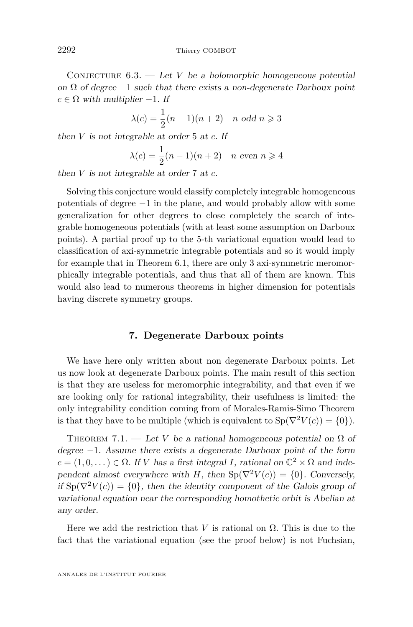CONJECTURE  $6.3.$  — Let *V* be a holomorphic homogeneous potential on  $\Omega$  of degree  $-1$  such that there exists a non-degenerate Darboux point  $c \in \Omega$  with multiplier  $-1$ . If

$$
\lambda(c) = \frac{1}{2}(n-1)(n+2) \quad n \text{ odd } n \geqslant 3
$$

then *V* is not integrable at order 5 at *c*. If

$$
\lambda(c) = \frac{1}{2}(n-1)(n+2) \quad n \text{ even } n \ge 4
$$

then *V* is not integrable at order 7 at *c*.

Solving this conjecture would classify completely integrable homogeneous potentials of degree −1 in the plane, and would probably allow with some generalization for other degrees to close completely the search of integrable homogeneous potentials (with at least some assumption on Darboux points). A partial proof up to the 5-th variational equation would lead to classification of axi-symmetric integrable potentials and so it would imply for example that in Theorem [6.1,](#page-37-0) there are only 3 axi-symmetric meromorphically integrable potentials, and thus that all of them are known. This would also lead to numerous theorems in higher dimension for potentials having discrete symmetry groups.

#### **7. Degenerate Darboux points**

We have here only written about non degenerate Darboux points. Let us now look at degenerate Darboux points. The main result of this section is that they are useless for meromorphic integrability, and that even if we are looking only for rational integrability, their usefulness is limited: the only integrability condition coming from of Morales-Ramis-Simo Theorem is that they have to be multiple (which is equivalent to  $Sp(\nabla^2 V(c)) = \{0\}$ ).

THEOREM 7.1. — Let *V* be a rational homogeneous potential on  $\Omega$  of degree −1. Assume there exists a degenerate Darboux point of the form  $c = (1, 0, ...) \in \Omega$ . If *V* has a first integral *I*, rational on  $\mathbb{C}^2 \times \Omega$  and independent almost everywhere with *H*, then  $Sp(\nabla^2 V(c)) = \{0\}$ . Conversely, if  $\text{Sp}(\nabla^2 V(c)) = \{0\}$ , then the identity component of the Galois group of variational equation near the corresponding homothetic orbit is Abelian at any order.

Here we add the restriction that *V* is rational on  $\Omega$ . This is due to the fact that the variational equation (see the proof below) is not Fuchsian,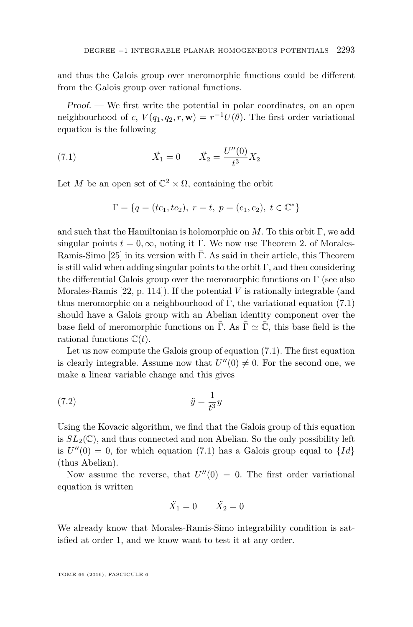and thus the Galois group over meromorphic functions could be different from the Galois group over rational functions.

Proof. — We first write the potential in polar coordinates, on an open neighbourhood of *c*,  $V(q_1, q_2, r, \mathbf{w}) = r^{-1}U(\theta)$ . The first order variational equation is the following

(7.1) 
$$
\ddot{X}_1 = 0 \qquad \ddot{X}_2 = \frac{U''(0)}{t^3} X_2
$$

Let *M* be an open set of  $\mathbb{C}^2 \times \Omega$ , containing the orbit

<span id="page-41-0"></span>
$$
\Gamma = \{q = (tc_1, tc_2), r = t, p = (c_1, c_2), t \in \mathbb{C}^*\}
$$

and such that the Hamiltonian is holomorphic on *M*. To this orbit Γ, we add singular points  $t = 0, \infty$ , noting it Γ. We now use Theorem 2. of Morales-Ramis-Simo  $[25]$  in its version with Γ. As said in their article, this Theorem is still valid when adding singular points to the orbit  $\Gamma$ , and then considering the differential Galois group over the meromorphic functions on  $\Gamma$  (see also Morales-Ramis [\[22,](#page-45-3) p. 114]). If the potential *V* is rationally integrable (and thus meromorphic on a neighbourhood of Γ, the variational equation [\(7.1\)](#page-41-0) should have a Galois group with an Abelian identity component over the base field of meromorphic functions on Γ. As  $\Gamma \simeq \mathbb{C}$ , this base field is the rational functions C(*t*).

Let us now compute the Galois group of equation [\(7.1\)](#page-41-0). The first equation is clearly integrable. Assume now that  $U''(0) \neq 0$ . For the second one, we make a linear variable change and this gives

$$
(7.2)\qquad \qquad \ddot{y} = \frac{1}{t^3}y
$$

Using the Kovacic algorithm, we find that the Galois group of this equation is  $SL_2(\mathbb{C})$ , and thus connected and non Abelian. So the only possibility left is  $U''(0) = 0$ , for which equation [\(7.1\)](#page-41-0) has a Galois group equal to  $\{Id\}$ (thus Abelian).

Now assume the reverse, that  $U''(0) = 0$ . The first order variational equation is written

$$
\ddot{X}_1 = 0 \qquad \ddot{X}_2 = 0
$$

We already know that Morales-Ramis-Simo integrability condition is satisfied at order 1, and we know want to test it at any order.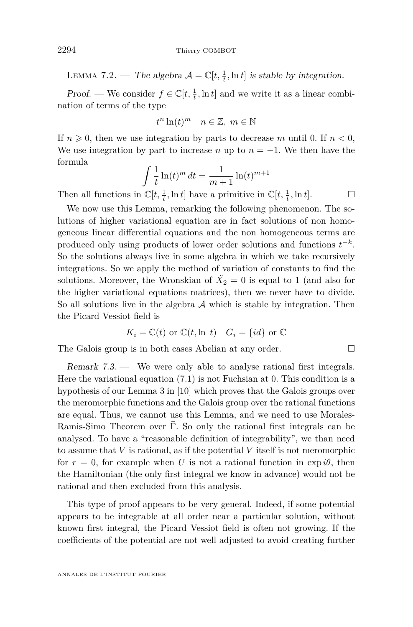LEMMA 7.2. — The algebra  $\mathcal{A} = \mathbb{C}[t, \frac{1}{t}, \ln t]$  is stable by integration.

*Proof.* — We consider  $f \in \mathbb{C}[t, \frac{1}{t}, \ln t]$  and we write it as a linear combination of terms of the type

$$
t^n \ln(t)^m \quad n \in \mathbb{Z}, \ m \in \mathbb{N}
$$

If  $n \geq 0$ , then we use integration by parts to decrease *m* until 0. If  $n < 0$ , We use integration by part to increase *n* up to  $n = -1$ . We then have the formula

$$
\int \frac{1}{t} \ln(t)^m dt = \frac{1}{m+1} \ln(t)^{m+1}
$$

Then all functions in  $\mathbb{C}[t, \frac{1}{t}, \ln t]$  have a primitive in  $\mathbb{C}[t, \frac{1}{t}, \ln t]$ .

We now use this Lemma, remarking the following phenomenon. The solutions of higher variational equation are in fact solutions of non homogeneous linear differential equations and the non homogeneous terms are produced only using products of lower order solutions and functions  $t^{-k}$ . So the solutions always live in some algebra in which we take recursively integrations. So we apply the method of variation of constants to find the solutions. Moreover, the Wronskian of  $\ddot{X}_2 = 0$  is equal to 1 (and also for the higher variational equations matrices), then we never have to divide. So all solutions live in the algebra  $A$  which is stable by integration. Then the Picard Vessiot field is

$$
K_i = \mathbb{C}(t)
$$
 or  $\mathbb{C}(t, \ln t)$   $G_i = \{id\}$  or  $\mathbb{C}$ 

The Galois group is in both cases Abelian at any order.

Remark 7.3. — We were only able to analyse rational first integrals. Here the variational equation [\(7.1\)](#page-41-0) is not Fuchsian at 0. This condition is a hypothesis of our Lemma 3 in [\[10\]](#page-44-2) which proves that the Galois groups over the meromorphic functions and the Galois group over the rational functions are equal. Thus, we cannot use this Lemma, and we need to use Morales-Ramis-Simo Theorem over  $\overline{\Gamma}$ . So only the rational first integrals can be analysed. To have a "reasonable definition of integrability", we than need to assume that *V* is rational, as if the potential *V* itself is not meromorphic for  $r = 0$ , for example when *U* is not a rational function in exp *i* $\theta$ , then the Hamiltonian (the only first integral we know in advance) would not be rational and then excluded from this analysis.

This type of proof appears to be very general. Indeed, if some potential appears to be integrable at all order near a particular solution, without known first integral, the Picard Vessiot field is often not growing. If the coefficients of the potential are not well adjusted to avoid creating further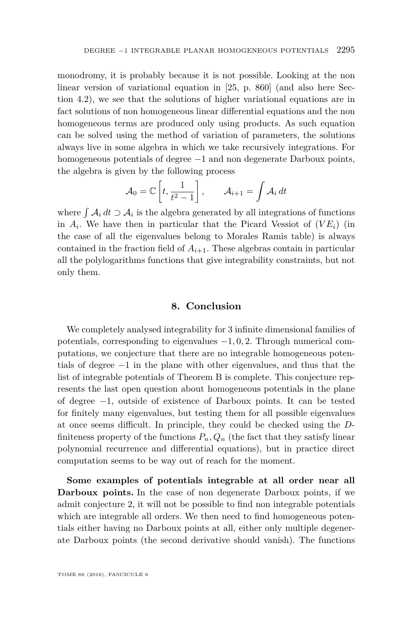monodromy, it is probably because it is not possible. Looking at the non linear version of variational equation in [\[25,](#page-45-0) p. 860] (and also here Section [4.2\)](#page-17-0), we see that the solutions of higher variational equations are in fact solutions of non homogeneous linear differential equations and the non homogeneous terms are produced only using products. As such equation can be solved using the method of variation of parameters, the solutions always live in some algebra in which we take recursively integrations. For homogeneous potentials of degree −1 and non degenerate Darboux points, the algebra is given by the following process

$$
\mathcal{A}_0 = \mathbb{C}\left[t, \frac{1}{t^2 - 1}\right], \qquad \mathcal{A}_{i+1} = \int \mathcal{A}_i \, dt
$$

where  $\int A_i dt \supset A_i$  is the algebra generated by all integrations of functions in  $A_i$ . We have then in particular that the Picard Vessiot of  $(VE_i)$  (in the case of all the eigenvalues belong to Morales Ramis table) is always contained in the fraction field of  $A_{i+1}$ . These algebras contain in particular all the polylogarithms functions that give integrability constraints, but not only them.

#### **8. Conclusion**

We completely analysed integrability for 3 infinite dimensional families of potentials, corresponding to eigenvalues −1*,* 0*,* 2. Through numerical computations, we conjecture that there are no integrable homogeneous potentials of degree  $-1$  in the plane with other eigenvalues, and thus that the list of integrable potentials of Theorem [B](#page-3-1) is complete. This conjecture represents the last open question about homogeneous potentials in the plane of degree −1, outside of existence of Darboux points. It can be tested for finitely many eigenvalues, but testing them for all possible eigenvalues at once seems difficult. In principle, they could be checked using the *D*finiteness property of the functions  $P_n, Q_n$  (the fact that they satisfy linear polynomial recurrence and differential equations), but in practice direct computation seems to be way out of reach for the moment.

**Some examples of potentials integrable at all order near all Darboux points.** In the case of non degenerate Darboux points, if we admit conjecture 2, it will not be possible to find non integrable potentials which are integrable all orders. We then need to find homogeneous potentials either having no Darboux points at all, either only multiple degenerate Darboux points (the second derivative should vanish). The functions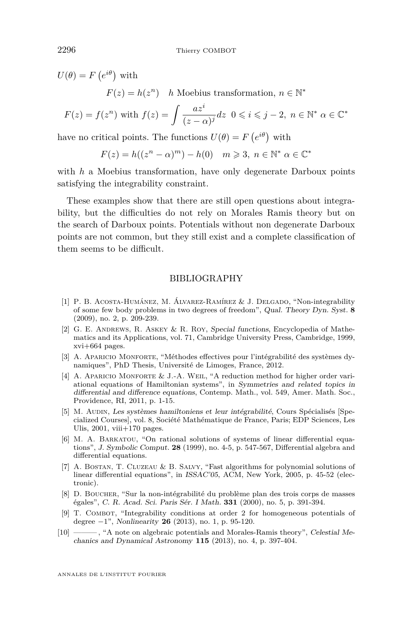$U(\theta) = F(e^{i\theta})$  with  $F(z) = h(z^n)$  *h* Moebius transformation,  $n \in \mathbb{N}^*$ *az<sup>i</sup>*

$$
F(z) = f(z^n) \text{ with } f(z) = \int \frac{az^i}{(z-\alpha)^j} dz \ \ 0 \leqslant i \leqslant j-2, \ n \in \mathbb{N}^* \ \alpha \in \mathbb{C}^*
$$

have no critical points. The functions  $U(\theta) = F(e^{i\theta})$  with

$$
F(z) = h((z^n - \alpha)^m) - h(0) \quad m \geqslant 3, \ n \in \mathbb{N}^* \ \alpha \in \mathbb{C}^*
$$

with *h* a Moebius transformation, have only degenerate Darboux points satisfying the integrability constraint.

These examples show that there are still open questions about integrability, but the difficulties do not rely on Morales Ramis theory but on the search of Darboux points. Potentials without non degenerate Darboux points are not common, but they still exist and a complete classification of them seems to be difficult.

#### BIBLIOGRAPHY

- <span id="page-44-1"></span>[1] P. B. Acosta-Humánez, M. Álvarez-Ramírez & J. Delgado, "Non-integrability of some few body problems in two degrees of freedom", Qual. Theory Dyn. Syst. **8** (2009), no. 2, p. 209-239.
- <span id="page-44-5"></span>[2] G. E. Andrews, R. Askey & R. Roy, Special functions, Encyclopedia of Mathematics and its Applications, vol. 71, Cambridge University Press, Cambridge, 1999, xvi+664 pages.
- <span id="page-44-6"></span>[3] A. Aparicio Monforte, "Méthodes effectives pour l'intégrabilité des systèmes dynamiques", PhD Thesis, Université de Limoges, France, 2012.
- <span id="page-44-7"></span>[4] A. Aparicio Monforte & J.-A. Weil, "A reduction method for higher order variational equations of Hamiltonian systems", in Symmetries and related topics in differential and difference equations, Contemp. Math., vol. 549, Amer. Math. Soc., Providence, RI, 2011, p. 1-15.
- <span id="page-44-3"></span>[5] M. Audin, Les systèmes hamiltoniens et leur intégrabilité, Cours Spécialisés [Specialized Courses], vol. 8, Société Mathématique de France, Paris; EDP Sciences, Les Ulis,  $2001$ , viii $+170$  pages.
- <span id="page-44-8"></span>[6] M. A. Barkatou, "On rational solutions of systems of linear differential equations", J. Symbolic Comput. **28** (1999), no. 4-5, p. 547-567, Differential algebra and differential equations.
- <span id="page-44-9"></span>[7] A. Bostan, T. Cluzeau & B. Salvy, "Fast algorithms for polynomial solutions of linear differential equations", in ISSAC'05, ACM, New York, 2005, p. 45-52 (electronic).
- <span id="page-44-0"></span>[8] D. Boucher, "Sur la non-intégrabilité du problème plan des trois corps de masses égales", C. R. Acad. Sci. Paris Sér. I Math. **331** (2000), no. 5, p. 391-394.
- <span id="page-44-4"></span>[9] T. COMBOT, "Integrability conditions at order 2 for homogeneous potentials of degree −1", Nonlinearity **26** (2013), no. 1, p. 95-120.
- <span id="page-44-2"></span>[10] ——— , "A note on algebraic potentials and Morales-Ramis theory", Celestial Mechanics and Dynamical Astronomy **115** (2013), no. 4, p. 397-404.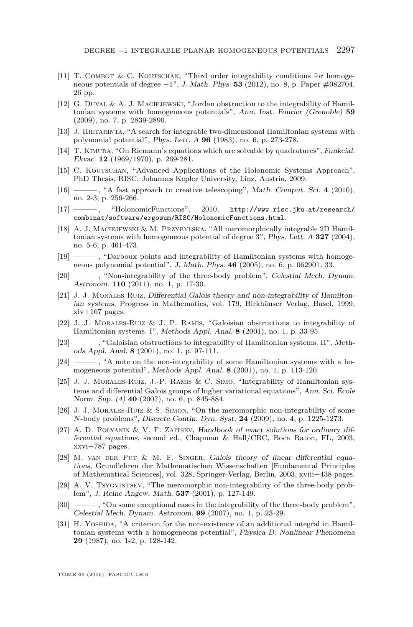- <span id="page-45-14"></span> $[11]$  T. COMBOT & C. KOUTSCHAN, "Third order integrability conditions for homogeneous potentials of degree −1", J. Math. Phys. **53** (2012), no. 8, p. Paper #082704, 26 pp.
- <span id="page-45-18"></span>[12] G. Duval & A. J. Maciejewski, "Jordan obstruction to the integrability of Hamiltonian systems with homogeneous potentials", Ann. Inst. Fourier (Grenoble) **59** (2009), no. 7, p. 2839-2890.
- <span id="page-45-11"></span>[13] J. HIETARINTA, "A search for integrable two-dimensional Hamiltonian systems with polynomial potential", Phys. Lett. A **96** (1983), no. 6, p. 273-278.
- <span id="page-45-13"></span>[14] T. Kimura, "On Riemann's equations which are solvable by quadratures", Funkcial. Ekvac. **12** (1969/1970), p. 269-281.
- <span id="page-45-19"></span>[15] C. Koutschan, "Advanced Applications of the Holonomic Systems Approach", PhD Thesis, RISC, Johannes Kepler University, Linz, Austria, 2009.
- <span id="page-45-20"></span>[16] ——— , "A fast approach to creative telescoping", Math. Comput. Sci. **4** (2010), no. 2-3, p. 259-266.
- <span id="page-45-16"></span>[17] ——— , "HolonomicFunctions", 2010, [http://www.risc.jku.at/research/](http://www.risc.jku.at/research/combinat/software/ergosum/RISC/HolonomicFunctions.html) [combinat/software/ergosum/RISC/HolonomicFunctions.html](http://www.risc.jku.at/research/combinat/software/ergosum/RISC/HolonomicFunctions.html).
- <span id="page-45-4"></span>[18] A. J. Maciejewski & M. Przybylska, "All meromorphically integrable 2D Hamiltonian systems with homogeneous potential of degree 3", Phys. Lett. A **327** (2004), no. 5-6, p. 461-473.
- <span id="page-45-5"></span>[19] ——— , "Darboux points and integrability of Hamiltonian systems with homogeneous polynomial potential", J. Math. Phys. **46** (2005), no. 6, p. 062901, 33.
- <span id="page-45-10"></span>[20] ———, "Non-integrability of the three-body problem", Celestial Mech. Dynam. Astronom. **110** (2011), no. 1, p. 17-30.
- <span id="page-45-2"></span>[21] J. J. Morales Ruiz, Differential Galois theory and non-integrability of Hamiltonian systems, Progress in Mathematics, vol. 179, Birkhäuser Verlag, Basel, 1999, xiv+167 pages.
- <span id="page-45-3"></span>[22] J. J. Morales-Ruiz & J. P. Ramis, "Galoisian obstructions to integrability of Hamiltonian systems. I", Methods Appl. Anal. **8** (2001), no. 1, p. 33-95.
- <span id="page-45-6"></span>[23] ——— , "Galoisian obstructions to integrability of Hamiltonian systems. II", Methods Appl. Anal. **8** (2001), no. 1, p. 97-111.
- <span id="page-45-12"></span>[24] ——, "A note on the non-integrability of some Hamiltonian systems with a homogeneous potential", Methods Appl. Anal. **8** (2001), no. 1, p. 113-120.
- <span id="page-45-0"></span>[25] J. J. Morales-Ruiz, J.-P. Ramis & C. Simo, "Integrability of Hamiltonian systems and differential Galois groups of higher variational equations", Ann. Sci. École Norm. Sup. (4) **40** (2007), no. 6, p. 845-884.
- <span id="page-45-7"></span>[26] J. J. Morales-Ruiz & S. Simon, "On the meromorphic non-integrability of some *N*-body problems", Discrete Contin. Dyn. Syst. **24** (2009), no. 4, p. 1225-1273.
- <span id="page-45-15"></span>[27] A. D. POLYANIN & V. F. ZAITSEV, Handbook of exact solutions for ordinary differential equations, second ed., Chapman & Hall/CRC, Boca Raton, FL, 2003, xxvi+787 pages.
- <span id="page-45-17"></span>[28] M. van der Put & M. F. Singer, Galois theory of linear differential equations, Grundlehren der Mathematischen Wissenschaften [Fundamental Principles of Mathematical Sciences], vol. 328, Springer-Verlag, Berlin, 2003, xviii+438 pages.
- <span id="page-45-8"></span>[29] A. V. TsygvINTSEV, "The meromorphic non-integrability of the three-body problem", J. Reine Angew. Math. **537** (2001), p. 127-149.
- <span id="page-45-9"></span>[30] ———, "On some exceptional cases in the integrability of the three-body problem", Celestial Mech. Dynam. Astronom. **99** (2007), no. 1, p. 23-29.
- <span id="page-45-1"></span>[31] H. YOSHIDA, "A criterion for the non-existence of an additional integral in Hamiltonian systems with a homogeneous potential", Physica D: Nonlinear Phenomena **29** (1987), no. 1-2, p. 128-142.